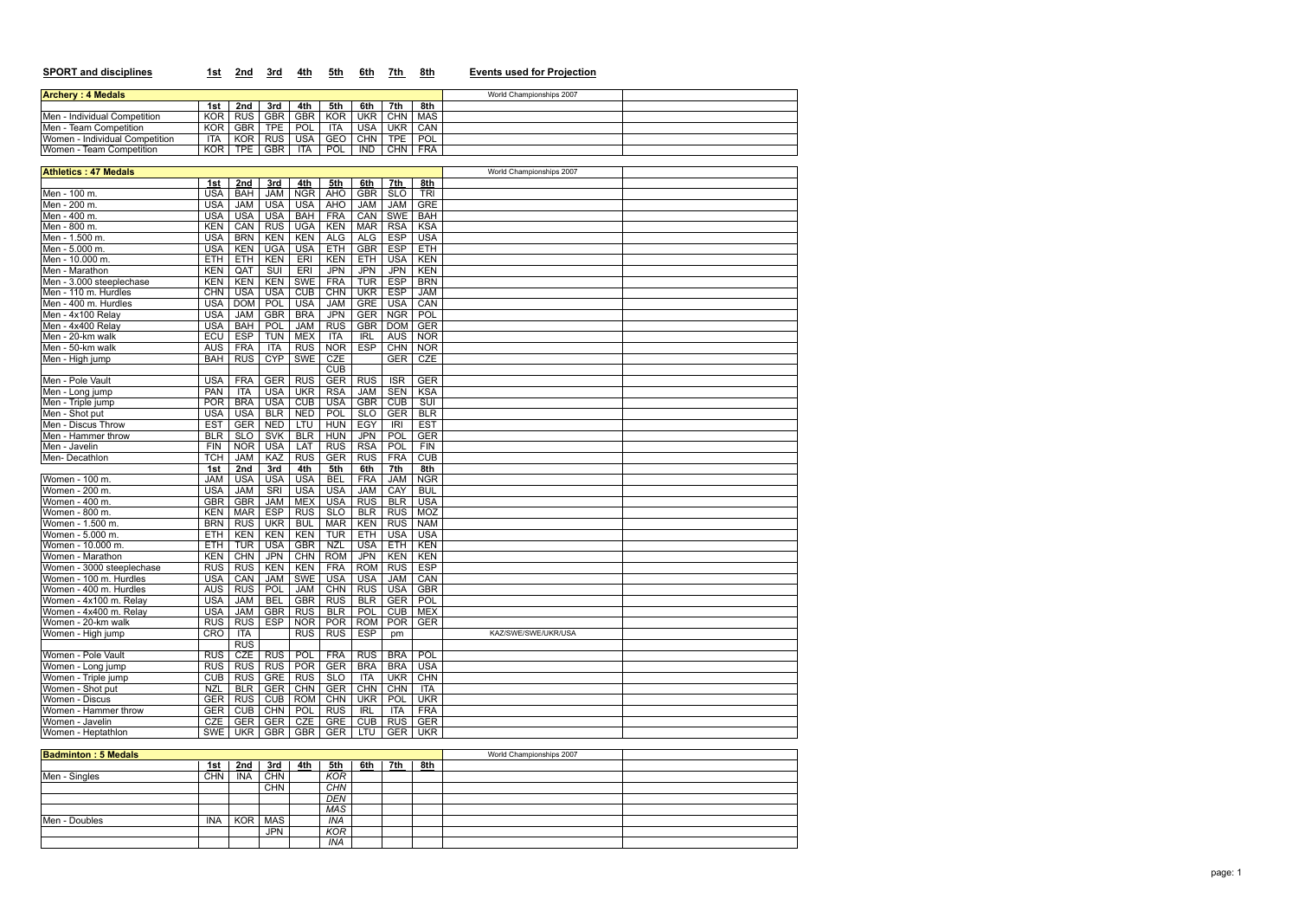| <b>SPORT and disciplines</b>                     | 1st                      | 2nd                      | 3rd                       | 4th                      | 5th                      | 6th                      | 7th                      | 8th                      | <b>Events used for Projection</b> |
|--------------------------------------------------|--------------------------|--------------------------|---------------------------|--------------------------|--------------------------|--------------------------|--------------------------|--------------------------|-----------------------------------|
| <b>Archery: 4 Medals</b>                         |                          |                          |                           |                          |                          |                          |                          |                          | World Championships 2007          |
|                                                  | 1st                      | 2nd                      | 3rd                       | 4th                      | 5th                      | 6th                      | 7th                      | 8th                      |                                   |
| Men - Individual Competition                     | <b>KOR</b>               | <b>RUS</b>               | <b>GBR</b>                | <b>GBR</b>               | <b>KOR</b>               | <b>UKR</b>               | <b>CHN</b>               | <b>MAS</b>               |                                   |
| Men - Team Competition                           | <b>KOR</b>               | <b>GBR</b>               | <b>TPE</b>                | POL                      | ITA                      | <b>USA</b>               | <b>UKR</b>               | CAN                      |                                   |
| Women - Individual Competition                   | <b>ITA</b>               | <b>KOR</b>               | <b>RUS</b>                | <b>USA</b>               | GEO                      | <b>CHN</b>               | <b>TPE</b>               | POL                      |                                   |
| Women - Team Competition                         | <b>KOR</b>               | <b>TPE</b>               | <b>GBR</b>                | <b>ITA</b>               | POL                      | <b>IND</b>               | <b>CHN</b>               | <b>FRA</b>               |                                   |
|                                                  |                          |                          |                           |                          |                          |                          |                          |                          |                                   |
| <b>Athletics: 47 Medals</b>                      |                          |                          |                           |                          |                          |                          |                          |                          | World Championships 2007          |
|                                                  | 1st                      | 2nd                      | 3rd                       | 4th                      | 5th                      | 6th                      | 7th                      | 8th                      |                                   |
| Men - 100 m.                                     | <b>USA</b>               | <b>BAH</b>               | <b>JAM</b>                | <b>NGR</b>               | <b>AHO</b>               | <b>GBR</b>               | SLO                      | <b>TRI</b>               |                                   |
| Men - 200 m.                                     | <b>USA</b>               | <b>JAM</b>               | <b>USA</b>                | <b>USA</b>               | <b>AHO</b>               | <b>JAM</b>               | <b>JAM</b>               | <b>GRE</b>               |                                   |
| Men - 400 m.                                     | <b>USA</b>               | <b>USA</b>               | <b>USA</b>                | <b>BAH</b>               | <b>FRA</b>               | CAN                      | <b>SWE</b>               | <b>BAH</b>               |                                   |
| Men - 800 m.                                     | <b>KEN</b>               | CAN                      | <b>RUS</b>                | <b>UGA</b>               | KEN                      | <b>MAR</b>               | <b>RSA</b>               | <b>KSA</b>               |                                   |
| Men - 1.500 m.                                   | <b>USA</b>               | <b>BRN</b>               | <b>KEN</b>                | <b>KEN</b>               | ALG                      | ALG                      | <b>ESP</b>               | <b>USA</b>               |                                   |
| Men - 5.000 m.                                   | <b>USA</b>               | <b>KEN</b>               | <b>UGA</b>                | <b>USA</b>               | ETH                      | <b>GBR</b>               | <b>ESP</b>               | ETH                      |                                   |
| Men - 10.000 m.                                  | <b>ETH</b>               | ETH                      | KEN                       | ERI                      | <b>KEN</b>               | <b>ETH</b>               | <b>USA</b>               | <b>KEN</b>               |                                   |
| Men - Marathon                                   | KEN                      | QAT                      | $\overline{\text{SUI}}$   | ERI                      | <b>JPN</b>               | <b>JPN</b>               | JPN                      | KEN                      |                                   |
| Men - 3.000 steeplechase<br>Men - 110 m. Hurdles | <b>KEN</b>               | <b>KEN</b>               | <b>KEN</b>                | <b>SWE</b>               | <b>FRA</b>               | <b>TUR</b>               | <b>ESP</b>               | <b>BRN</b><br><b>JAM</b> |                                   |
| Men - 400 m. Hurdles                             | <b>CHN</b><br><b>USA</b> | <b>USA</b>               | <b>USA</b>                | <b>CUB</b>               | <b>CHN</b>               | <b>UKR</b>               | <b>ESP</b>               | CAN                      |                                   |
|                                                  |                          | <b>DOM</b>               | POL                       | <b>USA</b>               | <b>JAM</b><br><b>JPN</b> | <b>GRE</b>               | <b>USA</b><br><b>NGR</b> | POL                      |                                   |
| Men - 4x100 Relay<br>Men - 4x400 Relay           | <b>USA</b><br><b>USA</b> | <b>JAM</b><br><b>BAH</b> | <b>GBR</b><br>POL         | <b>BRA</b><br><b>JAM</b> | <b>RUS</b>               | <b>GER</b><br><b>GBR</b> | <b>DOM</b>               | <b>GER</b>               |                                   |
| Men - 20-km walk                                 | ECU                      | <b>ESP</b>               | <b>TUN</b>                | <b>MEX</b>               | ITA                      | <b>IRL</b>               | <b>AUS</b>               | <b>NOR</b>               |                                   |
| Men - 50-km walk                                 | <b>AUS</b>               | <b>FRA</b>               | <b>ITA</b>                | <b>RUS</b>               | <b>NOR</b>               | <b>ESP</b>               | <b>CHN</b>               | <b>NOR</b>               |                                   |
| Men - High jump                                  | <b>BAH</b>               | <b>RUS</b>               | <b>CYP</b>                | <b>SWE</b>               | <b>CZE</b>               |                          | <b>GER</b>               | CZE                      |                                   |
|                                                  |                          |                          |                           |                          | <b>CUB</b>               |                          |                          |                          |                                   |
| Men - Pole Vault                                 | <b>USA</b>               | <b>FRA</b>               | <b>GER</b>                | <b>RUS</b>               | <b>GER</b>               | <b>RUS</b>               | $\overline{\text{ISR}}$  | <b>GER</b>               |                                   |
| Men - Long jump                                  | <b>PAN</b>               | <b>ITA</b>               | <b>USA</b>                | <b>UKR</b>               | <b>RSA</b>               | <b>JAM</b>               | <b>SEN</b>               | <b>KSA</b>               |                                   |
| Men - Triple jump                                | <b>POR</b>               | <b>BRA</b>               | <b>USA</b>                | <b>CUB</b>               | <b>USA</b>               | <b>GBR</b>               | <b>CUB</b>               | $\overline{\text{SUI}}$  |                                   |
| Men - Shot put                                   | <b>USA</b>               | <b>USA</b>               | BLR                       | <b>NED</b>               | POL                      | <b>SLO</b>               | <b>GER</b>               | BLR                      |                                   |
| Men - Discus Throw                               | <b>EST</b>               | <b>GER</b>               | <b>NED</b>                | LTU                      | <b>HUN</b>               | EGY                      | <b>IRI</b>               | <b>EST</b>               |                                   |
| Men - Hammer throw                               | <b>BLR</b>               | SLO                      | <b>SVK</b>                | <b>BLR</b>               | <b>HUN</b>               | <b>JPN</b>               | <b>POL</b>               | <b>GER</b>               |                                   |
| Men - Javelin                                    | <b>FIN</b>               | <b>NOR</b>               | <b>USA</b>                | LAT                      | <b>RUS</b>               | <b>RSA</b>               | POL                      | FIN                      |                                   |
| Men-Decathlon                                    | TCH                      | <b>JAM</b>               | KAZ                       | <b>RUS</b>               | <b>GER</b>               | <b>RUS</b>               | <b>FRA</b>               | CUB                      |                                   |
|                                                  | 1st                      | 2nd                      | 3rd                       | 4th                      | 5th                      | 6th                      | 7th                      | 8th                      |                                   |
| Women - 100 m.                                   | <b>JAM</b>               | <b>USA</b>               | <b>USA</b>                | <b>USA</b>               | <b>BEL</b>               | <b>FRA</b>               | <b>JAM</b>               | <b>NGR</b>               |                                   |
| Women - 200 m.                                   | <b>USA</b>               | <b>JAM</b>               | SRI                       | <b>USA</b>               | <b>USA</b>               | <b>JAM</b>               | CAY                      | <b>BUL</b>               |                                   |
| Women - 400 m.                                   | <b>GBR</b>               | <b>GBR</b>               | <b>JAM</b>                | <b>MEX</b>               | <b>USA</b>               | <b>RUS</b>               | <b>BLR</b>               | <b>USA</b>               |                                   |
| Women - 800 m.                                   | <b>KEN</b>               | <b>MAR</b>               | <b>ESP</b>                | <b>RUS</b>               | <b>SLO</b>               | <b>BLR</b>               | <b>RUS</b>               | <b>MOZ</b>               |                                   |
| Women - 1.500 m.                                 |                          | BRN RUS                  | <b>UKR</b>                | <b>BUL</b>               |                          | MAR KEN                  |                          | RUS NAM                  |                                   |
| Women - 5.000 m.                                 | <b>ETH</b>               | <b>KEN</b>               | <b>KEN</b>                | <b>KEN</b>               | <b>TUR</b>               | ETH                      | <b>USA</b>               | <b>USA</b>               |                                   |
| Women - 10.000 m.                                | <b>ETH</b>               | <b>TUR</b>               | <b>USA</b>                | <b>GBR</b>               | <b>NZL</b>               | <b>USA</b>               | <b>ETH</b>               | KEN                      |                                   |
| Women - Marathon                                 | <b>KEN</b>               | <b>CHN</b>               | <b>JPN</b>                | <b>CHN</b>               | <b>ROM</b>               | <b>JPN</b>               | <b>KEN</b>               | <b>KEN</b>               |                                   |
| Women - 3000 steeplechase                        | <b>RUS</b>               | <b>RUS</b>               | <b>KEN</b>                | <b>KEN</b>               | <b>FRA</b>               | <b>ROM</b>               | <b>RUS</b>               | <b>ESP</b>               |                                   |
| Women - 100 m. Hurdles                           | <b>USA</b>               | CAN                      | <b>JAM</b>                | SWE                      | <b>USA</b>               | <b>USA</b>               | <b>JAM</b>               | CAN                      |                                   |
| Women - 400 m. Hurdles                           | AUS                      | RUS                      | POL                       | <b>JAM</b>               | <b>CHN</b>               | <b>RUS</b>               | <b>USA</b>               | <b>GBR</b>               |                                   |
| Women - 4x100 m. Relay                           | <b>USA</b>               | <b>JAM</b>               | <b>BEL</b>                | <b>GBR</b>               | <b>RUS</b>               | <b>BLR</b>               | <b>GER</b>               | <b>POL</b>               |                                   |
| Women - 4x400 m. Relay<br>Women - 20-km walk     | <b>USA</b>               | <b>JAM</b>               | <b>GBR</b>                | <b>RUS</b>               | <b>BLR</b>               | <b>POL</b>               | <b>CUB</b>               | <b>MEX</b>               |                                   |
|                                                  | <b>RUS</b>               | <b>RUS</b>               | <b>ESP</b>                | <b>NOR</b>               | <b>POR</b>               | <b>ROM</b>               | <b>POR</b>               | <b>GER</b>               |                                   |
| Women - High jump                                | CRO                      | ITA                      |                           | <b>RUS</b>               | <b>RUS</b>               | <b>ESP</b>               | pm                       |                          | KAZ/SWE/SWE/UKR/USA               |
| Women - Pole Vault                               | <b>RUS</b>               | <b>RUS</b><br><b>CZE</b> |                           |                          |                          |                          |                          | <b>POL</b>               |                                   |
|                                                  |                          | RUS RUS                  | <b>RUS</b>                | <b>POL</b><br>POR        | <b>FRA</b><br><b>GER</b> | <b>RUS</b><br><b>BRA</b> | <b>BRA</b><br><b>BRA</b> | <b>USA</b>               |                                   |
| Women - Long jump<br>Women - Triple jump         |                          | CUB RUS                  | <b>RUS</b><br><b>GRET</b> | RUS                      | <b>SLO</b>               | <b>ITA</b>               | <b>UKR</b>               | <b>CHN</b>               |                                   |
| Women - Shot put                                 | <b>NZL</b>               | <b>BLR</b>               | GER                       | <b>CHN</b>               | <b>GER</b>               | <b>CHN</b>               | <b>CHN</b>               | <b>ITA</b>               |                                   |
| Women - Discus                                   |                          | GER RUS                  | CUB                       | <b>ROM</b>               | <b>CHN</b>               | <b>UKR</b>               | POL                      | <b>UKR</b>               |                                   |
| Women - Hammer throw                             |                          | GER CUB                  | <b>CHN</b>                | <b>POL</b>               | <b>RUS</b>               | <b>IRL</b>               | ITA                      | <b>FRA</b>               |                                   |
| Women - Javelin                                  | CZE                      | GER                      | <b>GER</b>                | <b>CZE</b>               | GRE                      | <b>CUB</b>               | <b>RUS</b>               | <b>GER</b>               |                                   |
| Women - Heptathlon                               | SWE                      | <b>UKR</b>               | <b>GBR</b>                | GBR                      | <b>GER</b>               | LTU                      | <b>GER</b>               | <b>UKR</b>               |                                   |
|                                                  |                          |                          |                           |                          |                          |                          |                          |                          |                                   |
| <b>Badminton: 5 Medals</b>                       |                          |                          |                           |                          |                          |                          |                          |                          | World Championships 2007          |
|                                                  |                          |                          |                           |                          |                          |                          |                          |                          |                                   |

|               | <u>1st</u> | <u>2nd</u> | <u>3rd</u> | <u>4th</u> | <u>5th</u> | <u>6th</u> | <u>7th</u> | <u>8th</u> |  |
|---------------|------------|------------|------------|------------|------------|------------|------------|------------|--|
| Men - Singles | <b>CHN</b> | <b>INA</b> | <b>CHN</b> |            | KOR        |            |            |            |  |
|               |            |            | <b>CHN</b> |            | CHN        |            |            |            |  |
|               |            |            |            |            | <b>DEN</b> |            |            |            |  |
|               |            |            |            |            | MAS        |            |            |            |  |
| Men - Doubles | INA        | KOR        | MAS        |            | INA        |            |            |            |  |
|               |            |            | <b>JPN</b> |            | KOR        |            |            |            |  |
|               |            |            |            |            | INA        |            |            |            |  |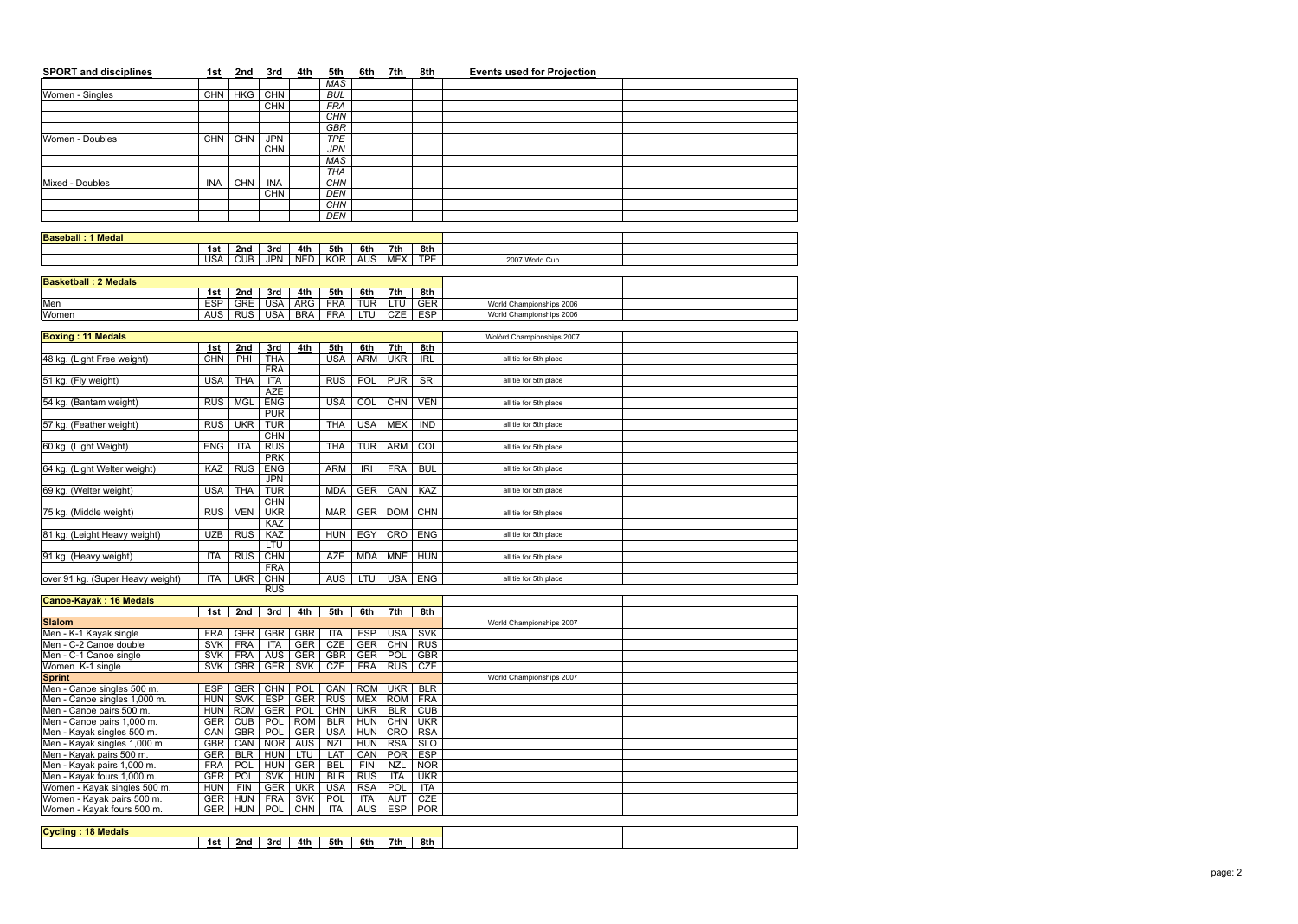| <b>SPORT and disciplines</b>                | 1st               | 2nd        | 3rd                      | 4th        | 5th                      | 6th               | 7th               | 8th               | <b>Events used for Projection</b> |  |
|---------------------------------------------|-------------------|------------|--------------------------|------------|--------------------------|-------------------|-------------------|-------------------|-----------------------------------|--|
|                                             |                   |            |                          |            | <b>MAS</b>               |                   |                   |                   |                                   |  |
| Women - Singles                             | <b>CHN</b>        | <b>HKG</b> | <b>CHN</b>               |            | <b>BUL</b>               |                   |                   |                   |                                   |  |
|                                             |                   |            | <b>CHN</b>               |            | <b>FRA</b>               |                   |                   |                   |                                   |  |
|                                             |                   |            |                          |            | CHN                      |                   |                   |                   |                                   |  |
| Women - Doubles                             | <b>CHN</b>        | <b>CHN</b> | <b>JPN</b>               |            | <b>GBR</b><br><b>TPE</b> |                   |                   |                   |                                   |  |
|                                             |                   |            | <b>CHN</b>               |            | <b>JPN</b>               |                   |                   |                   |                                   |  |
|                                             |                   |            |                          |            | <b>MAS</b>               |                   |                   |                   |                                   |  |
|                                             |                   |            |                          |            | THA                      |                   |                   |                   |                                   |  |
| Mixed - Doubles                             | <b>INA</b>        | <b>CHN</b> | <b>INA</b>               |            | <b>CHN</b>               |                   |                   |                   |                                   |  |
|                                             |                   |            | <b>CHN</b>               |            | <b>DEN</b>               |                   |                   |                   |                                   |  |
|                                             |                   |            |                          |            | CHN                      |                   |                   |                   |                                   |  |
|                                             |                   |            |                          |            | <b>DEN</b>               |                   |                   |                   |                                   |  |
| <b>Baseball: 1 Medal</b>                    |                   |            |                          |            |                          |                   |                   |                   |                                   |  |
|                                             | 1st               | 2nd        | 3rd                      | 4th        | 5th                      | 6th               | 7th               | 8th               |                                   |  |
|                                             | <b>USA</b>        | CUB        | <b>JPN</b>               | <b>NED</b> | <b>KOR</b>               | <b>AUS</b>        | <b>MEX</b>        | <b>TPE</b>        | 2007 World Cup                    |  |
|                                             |                   |            |                          |            |                          |                   |                   |                   |                                   |  |
| <b>Basketball: 2 Medals</b>                 |                   |            |                          |            |                          |                   |                   |                   |                                   |  |
|                                             | 1st               | 2nd        | 3rd                      | 4th        | 5th                      | 6th               | 7th               | 8th               |                                   |  |
| Men                                         | <b>ESP</b>        | <b>GRE</b> | <b>USA</b>               | <b>ARG</b> | <b>FRA</b>               | <b>TUR</b>        | LTU               | <b>GER</b>        | World Championships 2006          |  |
| Women                                       | $\overline{AUS}$  | <b>RUS</b> | <b>USA</b>               | <b>BRA</b> | <b>FRA</b>               | LTU               | CZE               | <b>ESP</b>        | World Championships 2006          |  |
|                                             |                   |            |                          |            |                          |                   |                   |                   |                                   |  |
| <b>Boxing: 11 Medals</b>                    |                   |            |                          |            |                          |                   |                   |                   | Wolòrd Championships 2007         |  |
| 48 kg. (Light Free weight)                  | 1st<br><b>CHN</b> | 2nd<br>PHI | 3rd<br><b>THA</b>        | 4th        | 5th<br><b>USA</b>        | 6th<br><b>ARM</b> | 7th<br><b>UKR</b> | 8th<br><b>IRL</b> | all tie for 5th place             |  |
|                                             |                   |            | <b>FRA</b>               |            |                          |                   |                   |                   |                                   |  |
| 51 kg. (Fly weight)                         | <b>USA</b>        | <b>THA</b> | <b>ITA</b>               |            | <b>RUS</b>               | POL               | <b>PUR</b>        | <b>SRI</b>        | all tie for 5th place             |  |
|                                             |                   |            | <b>AZE</b>               |            |                          |                   |                   |                   |                                   |  |
| 54 kg. (Bantam weight)                      | <b>RUS</b>        | <b>MGL</b> | <b>ENG</b>               |            | <b>USA</b>               | <b>COL</b>        | <b>CHN</b>        | <b>VEN</b>        | all tie for 5th place             |  |
|                                             |                   |            | <b>PUR</b>               |            |                          |                   |                   |                   |                                   |  |
| 57 kg. (Feather weight)                     | <b>RUS</b>        | <b>UKR</b> | <b>TUR</b>               |            | <b>THA</b>               | <b>USA</b>        | <b>MEX</b>        | <b>IND</b>        | all tie for 5th place             |  |
|                                             |                   |            | <b>CHN</b>               |            |                          |                   |                   |                   |                                   |  |
| 60 kg. (Light Weight)                       | <b>ENG</b>        | <b>ITA</b> | <b>RUS</b>               |            | <b>THA</b>               | <b>TUR</b>        | <b>ARM</b>        | COL               | all tie for 5th place             |  |
|                                             |                   |            | <b>PRK</b>               |            |                          |                   |                   |                   |                                   |  |
| 64 kg. (Light Welter weight)                | KAZ               | <b>RUS</b> | <b>ENG</b><br><b>JPN</b> |            | <b>ARM</b>               | <b>IRI</b>        | <b>FRA</b>        | <b>BUL</b>        | all tie for 5th place             |  |
| 69 kg. (Welter weight)                      | <b>USA</b>        | <b>THA</b> | <b>TUR</b>               |            | <b>MDA</b>               | <b>GER</b>        | CAN               | KAZ               | all tie for 5th place             |  |
|                                             |                   |            | <b>CHN</b>               |            |                          |                   |                   |                   |                                   |  |
| 75 kg. (Middle weight)                      | <b>RUS</b>        | <b>VEN</b> | <b>UKR</b>               |            | <b>MAR</b>               | GER               | <b>DOM</b>        | <b>CHN</b>        | all tie for 5th place             |  |
|                                             |                   |            | KAZ                      |            |                          |                   |                   |                   |                                   |  |
| 81 kg. (Leight Heavy weight)                | <b>UZB</b>        | <b>RUS</b> | <b>KAZ</b>               |            | HUN                      | EGY               | CRO               | <b>ENG</b>        | all tie for 5th place             |  |
|                                             |                   |            | <b>LTU</b>               |            |                          |                   |                   |                   |                                   |  |
| 91 kg. (Heavy weight)                       | <b>ITA</b>        | <b>RUS</b> | <b>CHN</b>               |            | <b>AZE</b>               | <b>MDA</b>        | MNE               | <b>HUN</b>        | all tie for 5th place             |  |
|                                             |                   |            | <b>FRA</b>               |            |                          |                   |                   |                   |                                   |  |
| over 91 kg. (Super Heavy weight)            | <b>ITA</b>        | <b>UKR</b> | <b>CHN</b><br><b>RUS</b> |            | <b>AUS</b>               | LTU               |                   | USA ENG           | all tie for 5th place             |  |
| <b>Canoe-Kayak: 16 Medals</b>               |                   |            |                          |            |                          |                   |                   |                   |                                   |  |
|                                             | 1st               | 2nd        | 3rd                      | 4th        | 5th                      | 6th               | 7th               | 8th               |                                   |  |
| <b>Slalom</b>                               |                   |            |                          |            |                          |                   |                   |                   | World Championships 2007          |  |
| Men - K-1 Kayak single                      | <b>FRA</b>        | <b>GER</b> | <b>GBR</b>               | <b>GBR</b> | <b>ITA</b>               | <b>ESP</b>        | <b>USA</b>        | <b>SVK</b>        |                                   |  |
| Men - C-2 Canoe double                      | <b>SVK</b>        | <b>FRA</b> | <b>ITA</b>               | <b>GER</b> | <b>CZE</b>               | GER <sup>1</sup>  | <b>CHN</b>        | <b>RUS</b>        |                                   |  |
| Men - C-1 Canoe single                      | <b>SVK</b>        | <b>FRA</b> | <b>AUS</b>               | <b>GER</b> | <b>GBR</b>               | GER <sup>1</sup>  | POL               | <b>GBR</b>        |                                   |  |
| Women K-1 single                            | <b>SVK</b>        | <b>GBR</b> | <b>GER</b>               | <b>SVK</b> | <b>CZE</b>               | <b>FRA</b>        | <b>RUS</b>        | <b>CZE</b>        |                                   |  |
| <b>Sprint</b><br>Men - Canoe singles 500 m. | <b>ESP</b>        | GER        | <b>CHN</b>               | POL        | CAN                      | <b>ROM</b>        | <b>UKR</b>        | <b>BLR</b>        | World Championships 2007          |  |
| Men - Canoe singles 1,000 m.                |                   | HUN SVK    | <b>ESP</b>               | <b>GER</b> | <b>RUS</b>               | <b>MEX</b>        | <b>ROM</b>        | <b>FRA</b>        |                                   |  |
| Men - Canoe pairs 500 m.                    |                   | HUN ROM    | <b>GER</b>               | <b>POL</b> | CHN                      | <b>UKR</b>        | <b>BLR</b>        | CUB               |                                   |  |
| Men - Canoe pairs 1,000 m.                  | GER <sup>T</sup>  | <b>CUB</b> | POL                      | <b>ROM</b> | <b>BLR</b>               | <b>HUN</b>        | CHN               | <b>UKR</b>        |                                   |  |
| Men - Kayak singles 500 m.                  | CAN               | <b>GBR</b> | <b>POL</b>               | GER        | <b>USA</b>               | <b>HUN</b>        | CRO               | <b>RSA</b>        |                                   |  |
| Men - Kayak singles 1,000 m.                | GBR               | CAN        | <b>NOR</b>               | AUS        | <b>NZL</b>               | <b>HUN</b>        | <b>RSA</b>        | <b>SLO</b>        |                                   |  |
| Men - Kayak pairs 500 m.                    | GER <sup>1</sup>  | <b>BLR</b> | <b>HUN</b>               | LTU        | LAT                      | CAN               | <b>POR</b>        | <b>ESP</b>        |                                   |  |
| Men - Kayak pairs 1,000 m.                  | <b>FRA</b>        | POL        | <b>HUN</b>               | <b>GER</b> | <b>BEL</b>               | FIN               | <b>NZL</b>        | <b>NOR</b>        |                                   |  |
| Men - Kayak fours 1,000 m.                  | GER <sup>T</sup>  | <b>POL</b> | <b>SVK</b>               | <b>HUN</b> | <b>BLR</b>               | <b>RUS</b>        | ITA               | <b>UKR</b>        |                                   |  |
| Women - Kayak singles 500 m.                | HUN               | <b>FIN</b> | <b>GER</b>               | <b>UKR</b> | <b>USA</b>               | <b>RSA</b>        | POL               | <b>ITA</b>        |                                   |  |
| Women - Kayak pairs 500 m.                  |                   | GER HUN    | <b>FRA</b>               | <b>SVK</b> | POL                      | <b>ITA</b>        | <b>AUT</b>        | <b>CZE</b>        |                                   |  |
| Women - Kayak fours 500 m.                  |                   | GER   HUN  | POL                      | <b>CHN</b> | ITA                      | <b>AUS</b>        | <b>ESP</b>        | <b>POR</b>        |                                   |  |
| <b>Cycling: 18 Medals</b>                   |                   |            |                          |            |                          |                   |                   |                   |                                   |  |
|                                             | 1st               | 2nd        | 3rd                      | 4th        | 5th                      | 6th               | 7th               | 8th               |                                   |  |
|                                             |                   |            |                          |            |                          |                   |                   |                   |                                   |  |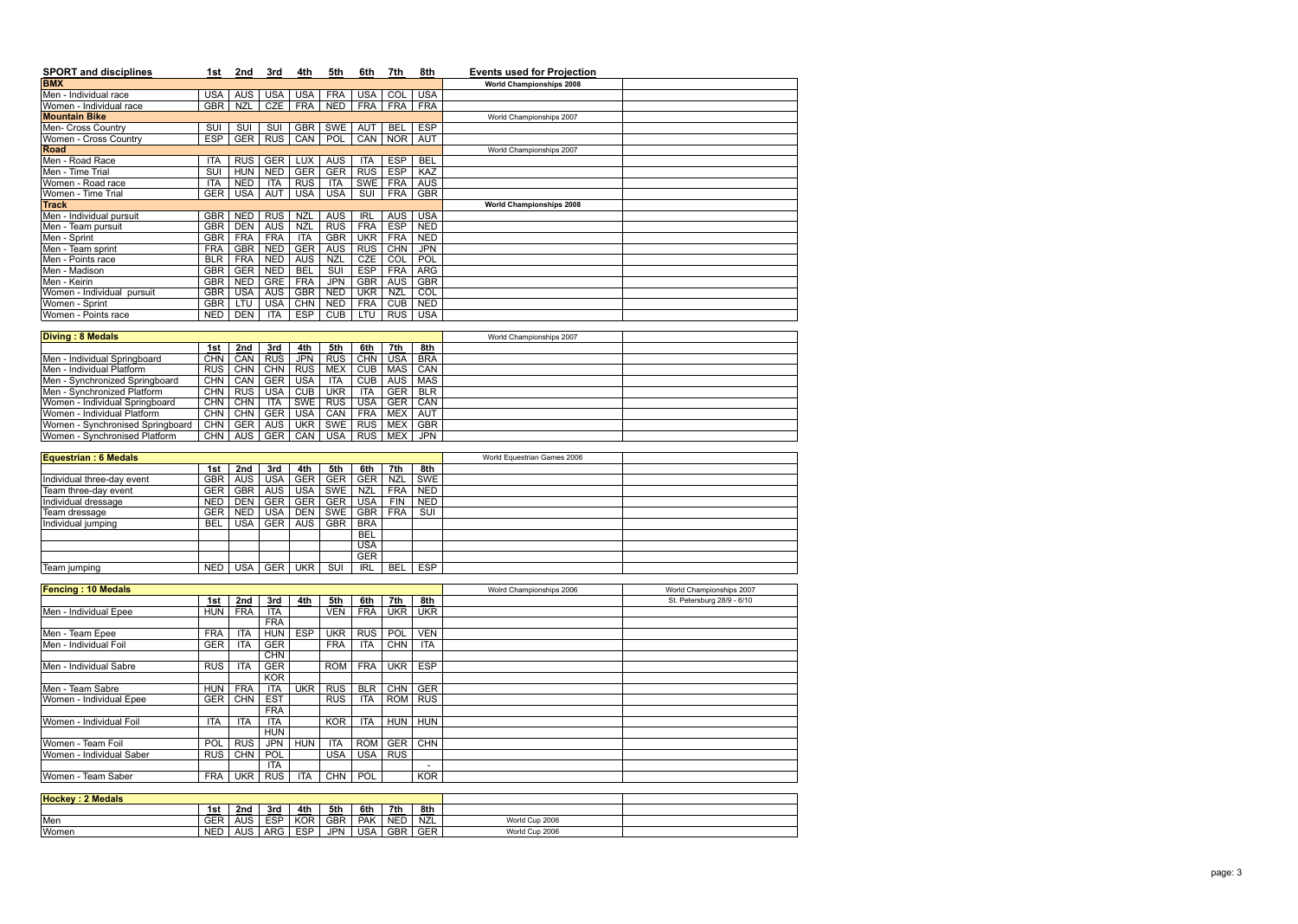| <b>SPORT and disciplines</b>             | 1st                      | 2nd                      | 3rd                      | 4th                      | 5th                      | 6th                                   | 7th                      | 8th                      | <b>Events used for Projection</b> |                            |
|------------------------------------------|--------------------------|--------------------------|--------------------------|--------------------------|--------------------------|---------------------------------------|--------------------------|--------------------------|-----------------------------------|----------------------------|
| <b>BMX</b>                               |                          |                          |                          |                          |                          |                                       |                          |                          | <b>World Championships 2008</b>   |                            |
| Men - Individual race                    | <b>USA</b>               | <b>AUS</b>               | <b>USA</b>               | <b>USA</b>               | <b>FRA</b>               | <b>USA</b>                            | $\overline{COL}$         | <b>USA</b>               |                                   |                            |
| Women - Individual race                  | <b>GBR</b>               | <b>NZL</b>               | <b>CZE</b>               | <b>FRA</b>               | <b>NED</b>               | <b>FRA</b>                            | <b>FRA</b>               | <b>FRA</b>               |                                   |                            |
| <b>Mountain Bike</b>                     |                          |                          |                          |                          |                          |                                       |                          |                          | World Championships 2007          |                            |
| Men- Cross Country                       | SUI                      | SUI                      | SUI                      | <b>GBR</b>               | SWE                      | <b>AUT</b>                            | <b>BEL</b>               | <b>ESP</b>               |                                   |                            |
| Women - Cross Country                    | <b>ESP</b>               | <b>GER</b>               | <b>RUS</b>               | CAN                      | <b>POL</b>               | CAN                                   | <b>NOR</b>               | <b>AUT</b>               |                                   |                            |
| Road                                     |                          |                          |                          |                          |                          |                                       |                          |                          | World Championships 2007          |                            |
| Men - Road Race                          | ITA                      | <b>RUS</b>               | <b>GER</b>               | <b>LUX</b>               | <b>AUS</b>               | ITA                                   | <b>ESP</b>               | <b>BEL</b>               |                                   |                            |
| Men - Time Trial                         | SUI                      | <b>HUN</b>               | <b>NED</b>               | <b>GER</b>               | <b>GER</b>               | <b>RUS</b>                            | <b>ESP</b>               | KAZ                      |                                   |                            |
| Women - Road race<br>Women - Time Trial  | <b>ITA</b><br><b>GER</b> | <b>NED</b><br><b>USA</b> | <b>ITA</b><br><b>AUT</b> | <b>RUS</b><br><b>USA</b> | ITA<br><b>USA</b>        | <b>SWE</b><br>$\overline{\text{SUI}}$ | <b>FRA</b><br><b>FRA</b> | <b>AUS</b><br><b>GBR</b> |                                   |                            |
| <b>Track</b>                             |                          |                          |                          |                          |                          |                                       |                          |                          | <b>World Championships 2008</b>   |                            |
| Men - Individual pursuit                 | <b>GBR</b>               | <b>NED</b>               | <b>RUS</b>               | <b>NZL</b>               | <b>AUS</b>               | <b>IRL</b>                            | <b>AUS</b>               | <b>USA</b>               |                                   |                            |
| Men - Team pursuit                       | <b>GBR</b>               | <b>DEN</b>               | <b>AUS</b>               | <b>NZL</b>               | <b>RUS</b>               | <b>FRA</b>                            | <b>ESP</b>               | <b>NED</b>               |                                   |                            |
| Men - Sprint                             | <b>GBR</b>               | <b>FRA</b>               | <b>FRA</b>               | <b>ITA</b>               | <b>GBR</b>               | <b>UKR</b>                            | <b>FRA</b>               | <b>NED</b>               |                                   |                            |
| Men - Team sprint                        | <b>FRA</b>               | <b>GBR</b>               | <b>NED</b>               | <b>GER</b>               | <b>AUS</b>               | <b>RUS</b>                            | <b>CHN</b>               | <b>JPN</b>               |                                   |                            |
| Men - Points race                        | <b>BLR</b>               | <b>FRA</b>               | <b>NED</b>               | <b>AUS</b>               | <b>NZL</b>               | <b>CZE</b>                            | $\overline{col}$         | POL                      |                                   |                            |
| Men - Madison                            | <b>GBR</b>               | <b>GER</b>               | <b>NED</b>               | <b>BEL</b>               | SUI                      | <b>ESP</b>                            | <b>FRA</b>               | <b>ARG</b>               |                                   |                            |
| Men - Keirin                             | <b>GBR</b>               | <b>NED</b>               | <b>GRE</b>               | <b>FRA</b>               | <b>JPN</b>               | <b>GBR</b>                            | <b>AUS</b>               | <b>GBR</b>               |                                   |                            |
| Women - Individual pursuit               | <b>GBR</b>               | <b>USA</b>               | <b>AUS</b>               | <b>GBR</b>               | <b>NED</b>               | <b>UKR</b>                            | <b>NZL</b>               | COL                      |                                   |                            |
| Women - Sprint                           | <b>GBR</b>               | LTU                      | <b>USA</b>               | <b>CHN</b>               | <b>NED</b>               | <b>FRA</b>                            | <b>CUB</b>               | <b>NED</b>               |                                   |                            |
| Women - Points race                      | <b>NED</b>               | <b>DEN</b>               | <b>ITA</b>               | <b>ESP</b>               | CUB                      | LTU                                   | <b>RUS</b>               | <b>USA</b>               |                                   |                            |
|                                          |                          |                          |                          |                          |                          |                                       |                          |                          |                                   |                            |
| <b>Diving: 8 Medals</b>                  |                          |                          |                          |                          |                          |                                       |                          |                          | World Championships 2007          |                            |
|                                          | 1st                      | 2nd                      | 3rd                      | 4th                      | 5th                      | 6th                                   | 7th                      | 8th                      |                                   |                            |
| Men - Individual Springboard             | <b>CHN</b>               | CAN                      | <b>RUS</b>               | <b>JPN</b>               | RUS                      | <b>CHN</b>                            | <b>USA</b>               | <b>BRA</b>               |                                   |                            |
| Men - Individual Platform                | RUS                      | <b>CHN</b>               | <b>CHN</b>               | <b>RUS</b>               | <b>MEX</b>               | CUB                                   | <b>MAS</b>               | CAN                      |                                   |                            |
| Men - Synchronized Springboard           | <b>CHN</b>               | CAN                      | <b>GER</b>               | <b>USA</b>               | <b>ITA</b>               | <b>CUB</b>                            | <b>AUS</b>               | <b>MAS</b>               |                                   |                            |
| Men - Synchronized Platform              | <b>CHN</b>               | <b>RUS</b>               | <b>USA</b>               | <b>CUB</b>               | <b>UKR</b>               | <b>ITA</b>                            | <b>GER</b>               | <b>BLR</b>               |                                   |                            |
| Women - Individual Springboard           | <b>CHN</b>               | <b>CHN</b>               | <b>ITA</b>               | <b>SWE</b>               | <b>RUS</b>               | <b>USA</b>                            | <b>GER</b>               | CAN                      |                                   |                            |
| Women - Individual Platform              | <b>CHN</b>               | <b>CHN</b>               | <b>GER</b>               | <b>USA</b>               | CAN                      | <b>FRA</b>                            | <b>MEX</b>               | <b>AUT</b>               |                                   |                            |
| Women - Synchronised Springboard         | <b>CHN</b>               | <b>GER</b>               | <b>AUS</b>               | <b>UKR</b>               | <b>SWE</b>               | <b>RUS</b>                            | <b>MEX</b>               | <b>GBR</b>               |                                   |                            |
| Women - Synchronised Platform            | <b>CHN</b>               | <b>AUS</b>               | <b>GER</b>               | CAN                      | <b>USA</b>               | <b>RUS</b>                            | <b>MEX</b>               | <b>JPN</b>               |                                   |                            |
| <b>Equestrian: 6 Medals</b>              |                          |                          |                          |                          |                          |                                       |                          |                          | World Equestrian Games 2006       |                            |
|                                          | 1st                      | 2nd                      | 3rd                      | 4th                      | 5th                      | 6th                                   | 7th                      | 8th                      |                                   |                            |
| Individual three-day event               | <b>GBR</b>               | <b>AUS</b>               | <b>USA</b>               | <b>GER</b>               | <b>GER</b>               | <b>GER</b>                            | <b>NZL</b>               | <b>SWE</b>               |                                   |                            |
| Team three-day event                     | <b>GER</b>               | <b>GBR</b>               | <b>AUS</b>               | <b>USA</b>               | <b>SWE</b>               | <b>NZL</b>                            | <b>FRA</b>               | <b>NED</b>               |                                   |                            |
| Individual dressage                      | <b>NED</b>               | <b>DEN</b>               | <b>GER</b>               | <b>GER</b>               | GER                      | <b>USA</b>                            | <b>FIN</b>               | <b>NED</b>               |                                   |                            |
| Team dressage                            | <b>GER</b>               | <b>NED</b>               | <b>USA</b>               | <b>DEN</b>               | SWE                      | GBR                                   | <b>FRA</b>               | SUI                      |                                   |                            |
| Individual jumping                       | <b>BEL</b>               | USA                      |                          | GER AUS                  | <b>GBR</b>               | <b>BRA</b>                            |                          |                          |                                   |                            |
|                                          |                          |                          |                          |                          |                          | <b>BEL</b>                            |                          |                          |                                   |                            |
|                                          |                          |                          |                          |                          |                          | <b>USA</b>                            |                          |                          |                                   |                            |
|                                          |                          |                          |                          |                          |                          | <b>GER</b>                            |                          |                          |                                   |                            |
| Team jumping                             | <b>NED</b>               | <b>USA</b>               |                          | <b>GER UKR</b>           | SUI                      | <b>IRL</b>                            | <b>BEL</b>               | <b>ESP</b>               |                                   |                            |
|                                          |                          |                          |                          |                          |                          |                                       |                          |                          |                                   |                            |
| <b>Fencing: 10 Medals</b>                |                          |                          |                          |                          |                          |                                       |                          |                          | Wolrd Championships 2006          | World Championships 2007   |
|                                          | 1st                      | 2nd                      | 3rd                      | 4th                      | 5th                      | 6th                                   | 7th                      | 8th                      |                                   | St. Petersburg 28/9 - 6/10 |
| Men - Individual Epee                    | HUN                      | <b>FRA</b>               | <b>ITA</b>               |                          | <b>VEN</b>               | <b>FRA</b>                            | <b>UKR</b>               | <b>UKR</b>               |                                   |                            |
|                                          | <b>FRA</b>               |                          | <b>FRA</b>               | <b>ESP</b>               |                          | <b>RUS</b>                            |                          | <b>VEN</b>               |                                   |                            |
| Men - Team Epee<br>Men - Individual Foil | GER <sup>1</sup>         | <b>ITA</b><br><b>ITA</b> | <b>HUN</b><br><b>GER</b> |                          | <b>UKR</b><br><b>FRA</b> | ITA                                   | POL<br>CHN               | <b>ITA</b>               |                                   |                            |
|                                          |                          |                          | <b>CHN</b>               |                          |                          |                                       |                          |                          |                                   |                            |
| Men - Individual Sabre                   | <b>RUS</b>               | ITA                      | <b>GER</b>               |                          | <b>ROM</b>               | <b>FRA</b>                            | <b>UKR</b>               | <b>ESP</b>               |                                   |                            |
|                                          |                          |                          | <b>KOR</b>               |                          |                          |                                       |                          |                          |                                   |                            |
| Men - Team Sabre                         | HUN                      | FRA                      | <b>ITA</b>               | <b>UKR</b>               | <b>RUS</b>               | <b>BLR</b>                            | <b>CHN</b>               | <b>GER</b>               |                                   |                            |
| Women - Individual Epee                  | GER <sup>1</sup>         | <b>CHN</b>               | <b>EST</b>               |                          | RUS <sup></sup>          | <b>ITA</b>                            | <b>ROM</b>               | <b>RUS</b>               |                                   |                            |
|                                          |                          |                          | <b>FRA</b>               |                          |                          |                                       |                          |                          |                                   |                            |
| Women - Individual Foil                  | <b>ITA</b>               | <b>ITA</b>               | ITA                      |                          | <b>KOR</b>               | ITA                                   | <b>HUN</b>               | <b>HUN</b>               |                                   |                            |
|                                          |                          |                          | <b>HUN</b>               |                          |                          |                                       |                          |                          |                                   |                            |
| Women - Team Foil                        | <b>POL</b>               | <b>RUS</b>               | <b>JPN</b>               | <b>HUN</b>               | <b>ITA</b>               | <b>ROM</b>                            | <b>GER</b>               | <b>CHN</b>               |                                   |                            |
| Women - Individual Saber                 | <b>RUS</b>               | <b>CHN</b>               | <b>POL</b>               |                          | <b>USA</b>               | USA <sup>1</sup>                      | <b>RUS</b>               |                          |                                   |                            |
|                                          |                          |                          | <b>ITA</b>               |                          |                          |                                       |                          | $\overline{\phantom{a}}$ |                                   |                            |
| Women - Team Saber                       | <b>FRA</b>               | <b>UKR</b>               | <b>RUS</b>               | <b>ITA</b>               | <b>CHN</b>               | POL                                   |                          | <b>KOR</b>               |                                   |                            |
|                                          |                          |                          |                          |                          |                          |                                       |                          |                          |                                   |                            |
| <b>Hockey: 2 Medals</b>                  |                          |                          |                          |                          |                          |                                       |                          |                          |                                   |                            |
|                                          | 1st                      | 2nd                      | 3rd                      | 4th                      | 5th                      | 6th                                   | 7th                      | 8th                      |                                   |                            |
| Men                                      |                          | GER   AUS                | <b>ESP</b>               | KOR                      | <b>GBR</b>               | PAK                                   | <b>NED</b>               | <b>NZL</b>               | World Cup 2006                    |                            |
| Women                                    |                          | NED   AUS                | <b>ARG</b>               | <b>ESP</b>               | <b>JPN</b>               | USA <sup>1</sup>                      | GBR                      | <b>GER</b>               | World Cup 2006                    |                            |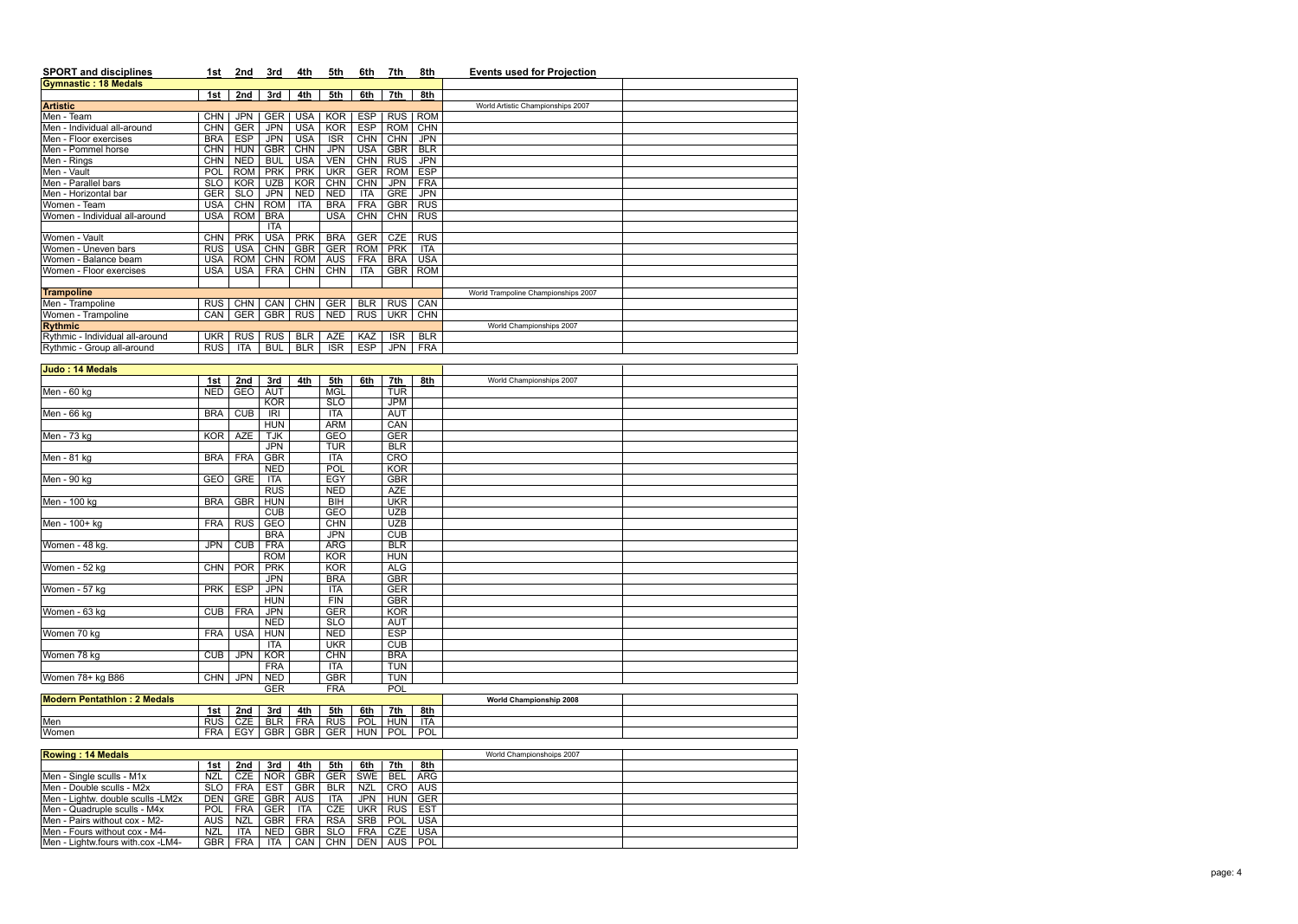| <b>SPORT and disciplines</b>    | 1st        | 2nd        | 3rd        | 4th        | 5th        | 6th        | 7th        | 8th        | <b>Events used for Projection</b>   |
|---------------------------------|------------|------------|------------|------------|------------|------------|------------|------------|-------------------------------------|
| <b>Gymnastic: 18 Medals</b>     |            |            |            |            |            |            |            |            |                                     |
|                                 | 1st        | 2nd        | 3rd        | 4th        | 5th        | 6th        | 7th        | 8th        |                                     |
| <b>Artistic</b>                 |            |            |            |            |            |            |            |            | World Artistic Championships 2007   |
| Men - Team                      | <b>CHN</b> | <b>JPN</b> | <b>GER</b> | <b>USA</b> | <b>KOR</b> | <b>ESP</b> | <b>RUS</b> | <b>ROM</b> |                                     |
| Men - Individual all-around     | <b>CHN</b> | <b>GER</b> | <b>JPN</b> | <b>USA</b> | <b>KOR</b> | <b>ESP</b> | <b>ROM</b> | <b>CHN</b> |                                     |
| Men - Floor exercises           | <b>BRA</b> | <b>ESP</b> | <b>JPN</b> | <b>USA</b> | <b>ISR</b> | <b>CHN</b> | <b>CHN</b> | <b>JPN</b> |                                     |
| Men - Pommel horse              | CHN        | <b>HUN</b> | <b>GBR</b> | <b>CHN</b> | <b>JPN</b> | <b>USA</b> | <b>GBR</b> | <b>BLR</b> |                                     |
| Men - Rings                     | <b>CHN</b> | <b>NED</b> | <b>BUL</b> | <b>USA</b> | <b>VEN</b> | <b>CHN</b> | <b>RUS</b> | <b>JPN</b> |                                     |
| Men - Vault                     | POL        | <b>ROM</b> | <b>PRK</b> | <b>PRK</b> | <b>UKR</b> | <b>GER</b> | <b>ROM</b> | <b>ESP</b> |                                     |
| Men - Parallel bars             | <b>SLO</b> | <b>KOR</b> | <b>UZB</b> | <b>KOR</b> | <b>CHN</b> | <b>CHN</b> | <b>JPN</b> | <b>FRA</b> |                                     |
| Men - Horizontal bar            | <b>GER</b> | <b>SLO</b> | <b>JPN</b> | <b>NED</b> | <b>NED</b> | <b>ITA</b> | <b>GRE</b> | <b>JPN</b> |                                     |
| Women - Team                    | USA        | <b>CHN</b> | <b>ROM</b> | <b>ITA</b> | <b>BRA</b> | <b>FRA</b> | <b>GBR</b> | <b>RUS</b> |                                     |
| Women - Individual all-around   | USA        | <b>ROM</b> | <b>BRA</b> |            | <b>USA</b> | CHN        | <b>CHN</b> | <b>RUS</b> |                                     |
|                                 |            |            | <b>ITA</b> |            |            |            |            |            |                                     |
| Women - Vault                   | <b>CHN</b> | <b>PRK</b> | <b>USA</b> | <b>PRK</b> | <b>BRA</b> | <b>GER</b> | CZE        | <b>RUS</b> |                                     |
| Women - Uneven bars             | <b>RUS</b> | <b>USA</b> | <b>CHN</b> | <b>GBR</b> | <b>GER</b> | <b>ROM</b> | <b>PRK</b> | <b>ITA</b> |                                     |
| Women - Balance beam            | USA        | <b>ROM</b> | <b>CHN</b> | <b>ROM</b> | <b>AUS</b> | <b>FRA</b> | <b>BRA</b> | <b>USA</b> |                                     |
| Women - Floor exercises         | USA        | USA        | <b>FRA</b> | <b>CHN</b> | <b>CHN</b> | <b>ITA</b> | <b>GBR</b> | <b>ROM</b> |                                     |
|                                 |            |            |            |            |            |            |            |            |                                     |
| <b>Trampoline</b>               |            |            |            |            |            |            |            |            | World Trampoline Championships 2007 |
| Men - Trampoline                | <b>RUS</b> | <b>CHN</b> | CAN        | <b>CHN</b> | <b>GER</b> | <b>BLR</b> | <b>RUS</b> | CAN        |                                     |
| Women - Trampoline              | <b>CAN</b> | <b>GER</b> | <b>GBR</b> | <b>RUS</b> | <b>NED</b> | <b>RUS</b> | UKR        | <b>CHN</b> |                                     |
| <b>Rythmic</b>                  |            |            |            |            |            |            |            |            | World Championships 2007            |
| Rythmic - Individual all-around | UKR        | <b>RUS</b> | <b>RUS</b> | <b>BLR</b> | AZE        | KAZ        | <b>ISR</b> | <b>BLR</b> |                                     |
| Rythmic - Group all-around      | <b>RUS</b> | <b>ITA</b> | <b>BUL</b> | <b>BLR</b> | <b>ISR</b> | <b>ESP</b> | <b>JPN</b> | <b>FRA</b> |                                     |

| Judo: 14 Medals                    |            |            |            |     |                                              |     |            |                  |                          |  |
|------------------------------------|------------|------------|------------|-----|----------------------------------------------|-----|------------|------------------|--------------------------|--|
|                                    | 1st        | 2nd        | 3rd        | 4th | 5th                                          | 6th | 7th        | 8th              | World Championships 2007 |  |
| Men - 60 kg                        | <b>NED</b> | GEO        | <b>AUT</b> |     | <b>MGL</b>                                   |     | <b>TUR</b> |                  |                          |  |
|                                    |            |            | <b>KOR</b> |     | <b>SLO</b>                                   |     | <b>JPM</b> |                  |                          |  |
| Men - 66 kg                        | <b>BRA</b> | <b>CUB</b> | <b>IRI</b> |     | <b>ITA</b>                                   |     | <b>AUT</b> |                  |                          |  |
|                                    |            |            | <b>HUN</b> |     | <b>ARM</b>                                   |     | CAN        |                  |                          |  |
| Men - 73 kg                        | KOR I      | <b>AZE</b> | <b>TJK</b> |     | <b>GEO</b>                                   |     | <b>GER</b> |                  |                          |  |
|                                    |            |            | <b>JPN</b> |     | <b>TUR</b>                                   |     | <b>BLR</b> |                  |                          |  |
| Men - 81 kg                        | <b>BRA</b> | <b>FRA</b> | <b>GBR</b> |     | <b>ITA</b>                                   |     | <b>CRO</b> |                  |                          |  |
|                                    |            |            | <b>NED</b> |     | <b>POL</b>                                   |     | <b>KOR</b> |                  |                          |  |
| Men - 90 kg                        | GEO        | <b>GRE</b> | <b>ITA</b> |     | EGY                                          |     | <b>GBR</b> |                  |                          |  |
|                                    |            |            | <b>RUS</b> |     | <b>NED</b>                                   |     | <b>AZE</b> |                  |                          |  |
| Men - 100 kg                       | <b>BRA</b> | <b>GBR</b> | <b>HUN</b> |     | B <sub>H</sub>                               |     | <b>UKR</b> |                  |                          |  |
|                                    |            |            | CUB        |     | <b>GEO</b>                                   |     | <b>UZB</b> |                  |                          |  |
| Men - 100+ kg                      | <b>FRA</b> | <b>RUS</b> | GEO        |     | <b>CHN</b>                                   |     | <b>UZB</b> |                  |                          |  |
|                                    |            |            | <b>BRA</b> |     | <b>JPN</b>                                   |     | CUB        |                  |                          |  |
| Women - 48 kg.                     | <b>JPN</b> | CUB        | <b>FRA</b> |     | <b>ARG</b>                                   |     | <b>BLR</b> |                  |                          |  |
|                                    |            |            | <b>ROM</b> |     | <b>KOR</b>                                   |     | <b>HUN</b> |                  |                          |  |
| Women - 52 kg                      | <b>CHN</b> | <b>POR</b> | <b>PRK</b> |     | <b>KOR</b>                                   |     | <b>ALG</b> |                  |                          |  |
|                                    |            |            | <b>JPN</b> |     | <b>BRA</b>                                   |     | <b>GBR</b> |                  |                          |  |
| Women - 57 kg                      | <b>PRK</b> | <b>ESP</b> | <b>JPN</b> |     | <b>ITA</b>                                   |     | <b>GER</b> |                  |                          |  |
|                                    |            |            | <b>HUN</b> |     | <b>FIN</b>                                   |     | <b>GBR</b> |                  |                          |  |
| Women - 63 kg                      | <b>CUB</b> | FRA        | <b>JPN</b> |     | <b>GER</b>                                   |     | <b>KOR</b> |                  |                          |  |
|                                    |            |            | <b>NED</b> |     | <b>SLO</b>                                   |     | <b>AUT</b> |                  |                          |  |
| Women 70 kg                        | <b>FRA</b> | <b>USA</b> | <b>HUN</b> |     | <b>NED</b>                                   |     | <b>ESP</b> |                  |                          |  |
|                                    |            |            | <b>ITA</b> |     | <b>UKR</b>                                   |     | CUB        |                  |                          |  |
| Women 78 kg                        | CUB        | <b>JPN</b> | <b>KOR</b> |     | <b>CHN</b>                                   |     | <b>BRA</b> |                  |                          |  |
|                                    |            |            | <b>FRA</b> |     | <b>ITA</b>                                   |     | <b>TUN</b> |                  |                          |  |
| Women 78+ kg B86                   | CHN        | <b>JPN</b> | <b>NED</b> |     | <b>GBR</b>                                   |     | <b>TUN</b> |                  |                          |  |
|                                    |            |            | <b>GER</b> |     | <b>FRA</b>                                   |     | POL        |                  |                          |  |
| <b>Modern Pentathlon: 2 Medals</b> |            |            |            |     |                                              |     |            |                  | World Championship 2008  |  |
|                                    |            |            |            |     | $1.4$ ot   2nd   2nd   4th   5th   6th   7th |     |            | $\overline{04h}$ |                          |  |

| <u> IModern Pentathlon :</u><br>2 Medals |            |            |      |     |              |                          |            |            | <b>World Championship 2008</b> |  |
|------------------------------------------|------------|------------|------|-----|--------------|--------------------------|------------|------------|--------------------------------|--|
|                                          | 1st        | 2nd        | 3rd  | 4th | 5th          | 6th                      | 7th        | <u>8th</u> |                                |  |
| Men                                      | RUS        | <b>CZE</b> | ח וח | FRA | <b>RUS</b>   | <b>POL</b>               | HUN        | <b>ITA</b> |                                |  |
| Women                                    | <b>FRA</b> | EGY        | GBR  | GRR | $\cap$<br>◡⊏ | 11.1 <sub>h</sub><br>9U) | <b>POL</b> | <b>POL</b> |                                |  |

| <b>Rowing: 14 Medals</b>          |            |            |            |            |            |            |            |            | World Championshoips 2007 |  |
|-----------------------------------|------------|------------|------------|------------|------------|------------|------------|------------|---------------------------|--|
|                                   | 1st        | <u>2nd</u> | 3rd        | <u>4th</u> | 5th        | 6th        | 7th        | 8th        |                           |  |
| Men - Single sculls - M1x         | NZL        | <b>CZE</b> | <b>NOR</b> | <b>GBR</b> | <b>GER</b> | SWE        | <b>BEL</b> | <b>ARG</b> |                           |  |
| Men - Double sculls - M2x         | <b>SLO</b> | <b>FRA</b> | <b>EST</b> | <b>GBR</b> | <b>BLR</b> | <b>NZL</b> | <b>CRO</b> | <b>AUS</b> |                           |  |
| Men - Lightw. double sculls -LM2x | DEN        | <b>GRE</b> | <b>GBR</b> | <b>AUS</b> | <b>ITA</b> | <b>JPN</b> | HUN        | <b>GER</b> |                           |  |
| Men - Quadruple sculls - M4x      | POL        | <b>FRA</b> | <b>GER</b> | <b>ITA</b> | CZE        | <b>UKR</b> | <b>RUS</b> | EST        |                           |  |
| Men - Pairs without cox - M2-     | <b>AUS</b> | <b>NZL</b> | <b>GBR</b> | <b>FRA</b> | <b>RSA</b> | <b>SRB</b> | POL        | <b>USA</b> |                           |  |
| Men - Fours without cox - M4-     | <b>NZL</b> | <b>ITA</b> | <b>NED</b> | <b>GBR</b> | <b>SLO</b> | <b>FRA</b> | CZE        | <b>USA</b> |                           |  |
| Men - Lightw.fours with.cox -LM4- | <b>GBR</b> | <b>FRA</b> | <b>ITA</b> | <b>CAN</b> | <b>CHN</b> | <b>DEN</b> | AUS        | POL        |                           |  |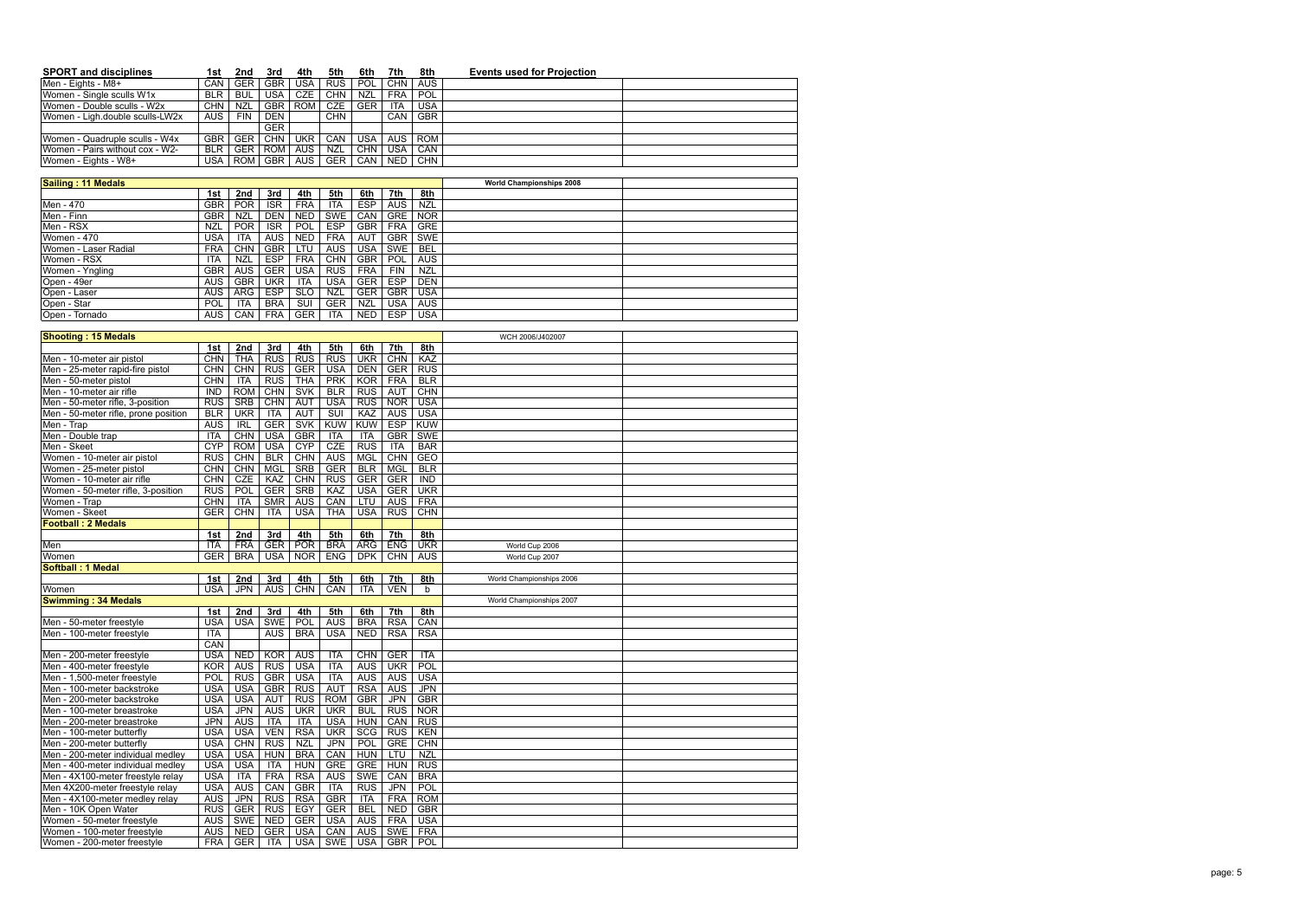| <b>SPORT and disciplines</b>    | 1st        | 2nd        | 3rd        | 4th        | 5th        | 6th        | 7th        | 8th        | <b>Events used for Projection</b> |
|---------------------------------|------------|------------|------------|------------|------------|------------|------------|------------|-----------------------------------|
| Men - Eights - M8+              | <b>CAN</b> | <b>GER</b> | <b>GBR</b> | <b>USA</b> | <b>RUS</b> | <b>POL</b> | CHN        | <b>AUS</b> |                                   |
| Women - Single sculls W1x       | <b>BLR</b> | <b>BUL</b> | USA        | <b>CZE</b> | <b>CHN</b> | NZL        | <b>FRA</b> | POL        |                                   |
| Women - Double sculls - W2x     | CHN        | <b>NZL</b> | <b>GBR</b> | <b>ROM</b> | <b>CZE</b> | <b>GER</b> | ITA        | <b>USA</b> |                                   |
| Women - Ligh.double sculls-LW2x | AUS        | <b>FIN</b> | <b>DEN</b> |            | CHN        |            | CAN        | <b>GBR</b> |                                   |
|                                 |            |            | <b>GER</b> |            |            |            |            |            |                                   |
| Women - Quadruple sculls - W4x  | <b>GBR</b> | <b>GER</b> | <b>CHN</b> | <b>UKR</b> | CAN        | <b>USA</b> | <b>AUS</b> | <b>ROM</b> |                                   |
| Women - Pairs without cox - W2- | <b>BLR</b> | <b>GER</b> | <b>ROM</b> | <b>AUS</b> | <b>NZL</b> | CHN.       | <b>USA</b> | <b>CAN</b> |                                   |
| Women - Eights - W8+            | USA        | ROM I      | <b>GBR</b> | <b>AUS</b> | <b>GER</b> | CAN        | <b>NED</b> | <b>CHN</b> |                                   |

| Sailing: 11 Medals   |            |            |            |            |            |            |            |            | <b>World Championships 2008</b> |  |
|----------------------|------------|------------|------------|------------|------------|------------|------------|------------|---------------------------------|--|
|                      | 1st        | 2nd        | 3rd        | 4th        | 5th        | 6th        | 7th        | 8th        |                                 |  |
| Men - 470            | <b>GBR</b> | <b>POR</b> | <b>ISR</b> | <b>FRA</b> | <b>ITA</b> | <b>ESP</b> | <b>AUS</b> | <b>NZL</b> |                                 |  |
| Men - Finn           | <b>GBR</b> | <b>NZL</b> | <b>DEN</b> | <b>NED</b> | SWE        | CAN        | <b>GRE</b> | <b>NOR</b> |                                 |  |
| Men - RSX            | NZL        | <b>POR</b> | ISR.       | POL.       | <b>ESP</b> | <b>GBR</b> | <b>FRA</b> | <b>GRE</b> |                                 |  |
| Women - 470          | USA        | ITA        | AUS.       | <b>NED</b> | <b>FRA</b> | AUT        | <b>GBR</b> | SWE        |                                 |  |
| Women - Laser Radial | <b>FRA</b> | <b>CHN</b> | <b>GBR</b> | LTU.       | <b>AUS</b> | USA        | SWE        | <b>BEL</b> |                                 |  |
| Women - RSX          | ITA        | NZL        | <b>ESP</b> | <b>FRA</b> | <b>CHN</b> | <b>GBR</b> | POL        | <b>AUS</b> |                                 |  |
| Women - Yngling      | <b>GBR</b> | <b>AUS</b> | <b>GER</b> | <b>USA</b> | <b>RUS</b> | <b>FRA</b> | <b>FIN</b> | <b>NZL</b> |                                 |  |
| Open - 49er          | <b>AUS</b> | <b>GBR</b> | <b>UKR</b> | <b>ITA</b> | <b>USA</b> | <b>GER</b> | <b>ESP</b> | <b>DEN</b> |                                 |  |
| Open - Laser         | <b>AUS</b> | <b>ARG</b> | <b>ESP</b> | <b>SLO</b> | <b>NZL</b> | <b>GER</b> | <b>GBR</b> | <b>USA</b> |                                 |  |
| Open - Star          | POL        | <b>ITA</b> | <b>BRA</b> | <b>SUI</b> | <b>GER</b> | <b>NZL</b> | USA        | <b>AUS</b> |                                 |  |
| Open - Tornado       | AUS.       | <b>CAN</b> | <b>FRA</b> | GER        | ITA        | <b>NED</b> | <b>ESP</b> | <b>USA</b> |                                 |  |

| <b>Shooting: 15 Medals</b>           |                  |            |            |            |                         |            |            |                  | WCH 2006/J402007         |  |
|--------------------------------------|------------------|------------|------------|------------|-------------------------|------------|------------|------------------|--------------------------|--|
|                                      | 1st              | 2nd        | 3rd        | 4th        | 5th                     | 6th        | 7th        | 8th              |                          |  |
| Men - 10-meter air pistol            | CHN              | THA        | RUS        | <b>RUS</b> | <b>RUS</b>              | <b>UKR</b> | <b>CHN</b> | KAZ              |                          |  |
| Men - 25-meter rapid-fire pistol     | <b>CHN</b>       | CHN        | <b>RUS</b> | <b>GER</b> | <b>USA</b>              | <b>DEN</b> | <b>GER</b> | <b>RUS</b>       |                          |  |
| Men - 50-meter pistol                | <b>CHN</b>       | ITA        | <b>RUS</b> | <b>THA</b> | <b>PRK</b>              | KOR        | <b>FRA</b> | <b>BLR</b>       |                          |  |
| Men - 10-meter air rifle             | $\overline{IND}$ | <b>ROM</b> | CHN        | <b>SVK</b> | <b>BLR</b>              | <b>RUS</b> | <b>AUT</b> | CHN              |                          |  |
| Men - 50-meter rifle, 3-position     | <b>RUS</b>       | <b>SRB</b> | CHN        | <b>AUT</b> | <b>USA</b>              | <b>RUS</b> | <b>NOR</b> | <b>USA</b>       |                          |  |
| Men - 50-meter rifle, prone position | BLR              | <b>UKR</b> | <b>ITA</b> | <b>AUT</b> | $\overline{\text{SUI}}$ | KAZ        | <b>AUS</b> | <b>USA</b>       |                          |  |
| Men - Trap                           | <b>AUS</b>       | R          | <b>GER</b> | <b>SVK</b> | <b>KUW</b>              | <b>KUW</b> | <b>ESP</b> | <b>KUW</b>       |                          |  |
| Men - Double trap                    | <b>ITA</b>       | CHN        | <b>USA</b> | <b>GBR</b> | <b>ITA</b>              | <b>ITA</b> | <b>GBR</b> | <b>SWE</b>       |                          |  |
| Men - Skeet                          | <b>CYP</b>       | <b>ROM</b> | <b>USA</b> | <b>CYP</b> | CZE                     | <b>RUS</b> | <b>ITA</b> | <b>BAR</b>       |                          |  |
| Women - 10-meter air pistol          | <b>RUS</b>       | CHN        | <b>BLR</b> | CHN        | <b>AUS</b>              | <b>MGL</b> | CHN        | <b>GEO</b>       |                          |  |
| Women - 25-meter pistol              | <b>CHN</b>       | <b>CHN</b> | <b>MGL</b> | <b>SRB</b> | <b>GER</b>              | BLR        | <b>MGL</b> | <b>BLR</b>       |                          |  |
| Women - 10-meter air rifle           | CHN              | CZE        | KAZ        | CHN        | <b>RUS</b>              | <b>GER</b> | <b>GER</b> | $\overline{IND}$ |                          |  |
| Women - 50-meter rifle, 3-position   | RUS              | POL        | <b>GER</b> | <b>SRB</b> | KAZ                     | <b>USA</b> | <b>GER</b> | <b>UKR</b>       |                          |  |
| Women - Trap                         | <b>CHN</b>       | <b>ITA</b> | <b>SMR</b> | <b>AUS</b> | CAN                     | LTU        | <b>AUS</b> | <b>FRA</b>       |                          |  |
| Women - Skeet                        | <b>GER</b>       | CHN        | <b>ITA</b> | <b>USA</b> | <b>THA</b>              | <b>USA</b> | <b>RUS</b> | <b>CHN</b>       |                          |  |
| <b>Football: 2 Medals</b>            |                  |            |            |            |                         |            |            |                  |                          |  |
|                                      | 1st              | 2nd        | 3rd        | 4th        | 5th                     | 6th        | 7th        | 8th              |                          |  |
| Men                                  | <b>ITA</b>       | FRA        | <b>GER</b> | <b>POR</b> | <b>BRA</b>              | <b>ARG</b> | <b>ENG</b> | <b>UKR</b>       | World Cup 2006           |  |
| Women                                | <b>GER</b>       | <b>BRA</b> | <b>USA</b> | <b>NOR</b> | <b>ENG</b>              | <b>DPK</b> | CHN        | <b>AUS</b>       | World Cup 2007           |  |
| <b>Softball: 1 Medal</b>             |                  |            |            |            |                         |            |            |                  |                          |  |
|                                      | 1st              | 2nd        | 3rd        | 4th        | 5th                     | 6th        | 7th        | 8th              | World Championships 2006 |  |
| Women                                | <b>USA</b>       | <b>JPN</b> | <b>AUS</b> | <b>CHN</b> | CAN                     | <b>ITA</b> | VEN        | b                |                          |  |
| <b>Swimming: 34 Medals</b>           |                  |            |            |            |                         |            |            |                  | World Championships 2007 |  |
|                                      | 1st              | 2nd        | 3rd        | 4th        | 5th                     | 6th        | 7th        | 8th              |                          |  |
| Men - 50-meter freestyle             | <b>USA</b>       | <b>USA</b> | <b>SWE</b> | POL        | <b>AUS</b>              | <b>BRA</b> | <b>RSA</b> | CAN              |                          |  |
| Men - 100-meter freestyle            | <b>ITA</b>       |            | <b>AUS</b> | <b>BRA</b> | <b>USA</b>              | <b>NED</b> | <b>RSA</b> | <b>RSA</b>       |                          |  |
|                                      | CAN              |            |            |            |                         |            |            |                  |                          |  |
| Men - 200-meter freestyle            | <b>USA</b>       | <b>NED</b> | KOR        | <b>AUS</b> | <b>ITA</b>              | CHN        | <b>GER</b> | <b>ITA</b>       |                          |  |
| Men - 400-meter freestyle            | <b>KOR</b>       | <b>AUS</b> | RUS        | <b>USA</b> | <b>ITA</b>              | <b>AUS</b> | <b>UKR</b> | <b>POL</b>       |                          |  |
| Men - 1,500-meter freestyle          | POL              | <b>RUS</b> | <b>GBR</b> | <b>USA</b> | <b>ITA</b>              | <b>AUS</b> | <b>AUS</b> | <b>USA</b>       |                          |  |
| Men - 100-meter backstroke           | <b>USA</b>       | <b>USA</b> | <b>GBR</b> | <b>RUS</b> | <b>AUT</b>              | <b>RSA</b> | <b>AUS</b> | <b>JPN</b>       |                          |  |
| Men - 200-meter backstroke           | <b>USA</b>       | <b>USA</b> | <b>AUT</b> | <b>RUS</b> | <b>ROM</b>              | <b>GBR</b> | <b>JPN</b> | <b>GBR</b>       |                          |  |
| Men - 100-meter breastroke           | <b>USA</b>       | <b>JPN</b> | <b>AUS</b> | <b>UKR</b> | <b>UKR</b>              | <b>BUL</b> | <b>RUS</b> | <b>NOR</b>       |                          |  |
| Men - 200-meter breastroke           | <b>JPN</b>       | <b>AUS</b> | <b>ITA</b> | <b>ITA</b> | <b>USA</b>              | <b>HUN</b> | CAN        | <b>RUS</b>       |                          |  |
| Men - 100-meter butterfly            | <b>USA</b>       | <b>USA</b> | <b>VEN</b> | <b>RSA</b> | <b>UKR</b>              | <b>SCG</b> | <b>RUS</b> | KEN              |                          |  |
| Men - 200-meter butterfly            | <b>USA</b>       | <b>CHN</b> | <b>RUS</b> | <b>NZL</b> | <b>JPN</b>              | POL        | <b>GRE</b> | CHN              |                          |  |
| Men - 200-meter individual medley    | <b>USA</b>       | <b>USA</b> | <b>HUN</b> | <b>BRA</b> | CAN                     | <b>HUN</b> | LTU        | <b>NZL</b>       |                          |  |
| Men - 400-meter individual medley    | <b>USA</b>       | <b>USA</b> | <b>ITA</b> | <b>HUN</b> | <b>GRE</b>              | <b>GRE</b> | <b>HUN</b> | <b>RUS</b>       |                          |  |
| Men - 4X100-meter freestyle relay    | <b>USA</b>       | ITA        | <b>FRA</b> | <b>RSA</b> | <b>AUS</b>              | <b>SWE</b> | CAN        | <b>BRA</b>       |                          |  |
| Men 4X200-meter freestyle relay      | <b>USA</b>       | <b>AUS</b> | CAN        | <b>GBR</b> | <b>ITA</b>              | <b>RUS</b> | JPN        | POL              |                          |  |
| Men - 4X100-meter medley relay       | <b>AUS</b>       | <b>JPN</b> | <b>RUS</b> | <b>RSA</b> | <b>GBR</b>              | <b>ITA</b> | <b>FRA</b> | <b>ROM</b>       |                          |  |
| Men - 10K Open Water                 | <b>RUS</b>       | GER        | <b>RUS</b> | EGY        | <b>GER</b>              | <b>BEL</b> | <b>NED</b> | <b>GBR</b>       |                          |  |
| Women - 50-meter freestyle           | <b>AUS</b>       | <b>SWE</b> | <b>NED</b> | <b>GER</b> | <b>USA</b>              | AUS        | <b>FRA</b> | <b>USA</b>       |                          |  |
| Women - 100-meter freestyle          | <b>AUS</b>       | <b>NED</b> | <b>GER</b> | <b>USA</b> | CAN                     | <b>AUS</b> | <b>SWE</b> | <b>FRA</b>       |                          |  |
| Women - 200-meter freestyle          | <b>FRA</b>       | <b>GER</b> | <b>ITA</b> | <b>USA</b> | <b>SWE</b>              | <b>USA</b> | <b>GBR</b> | POL              |                          |  |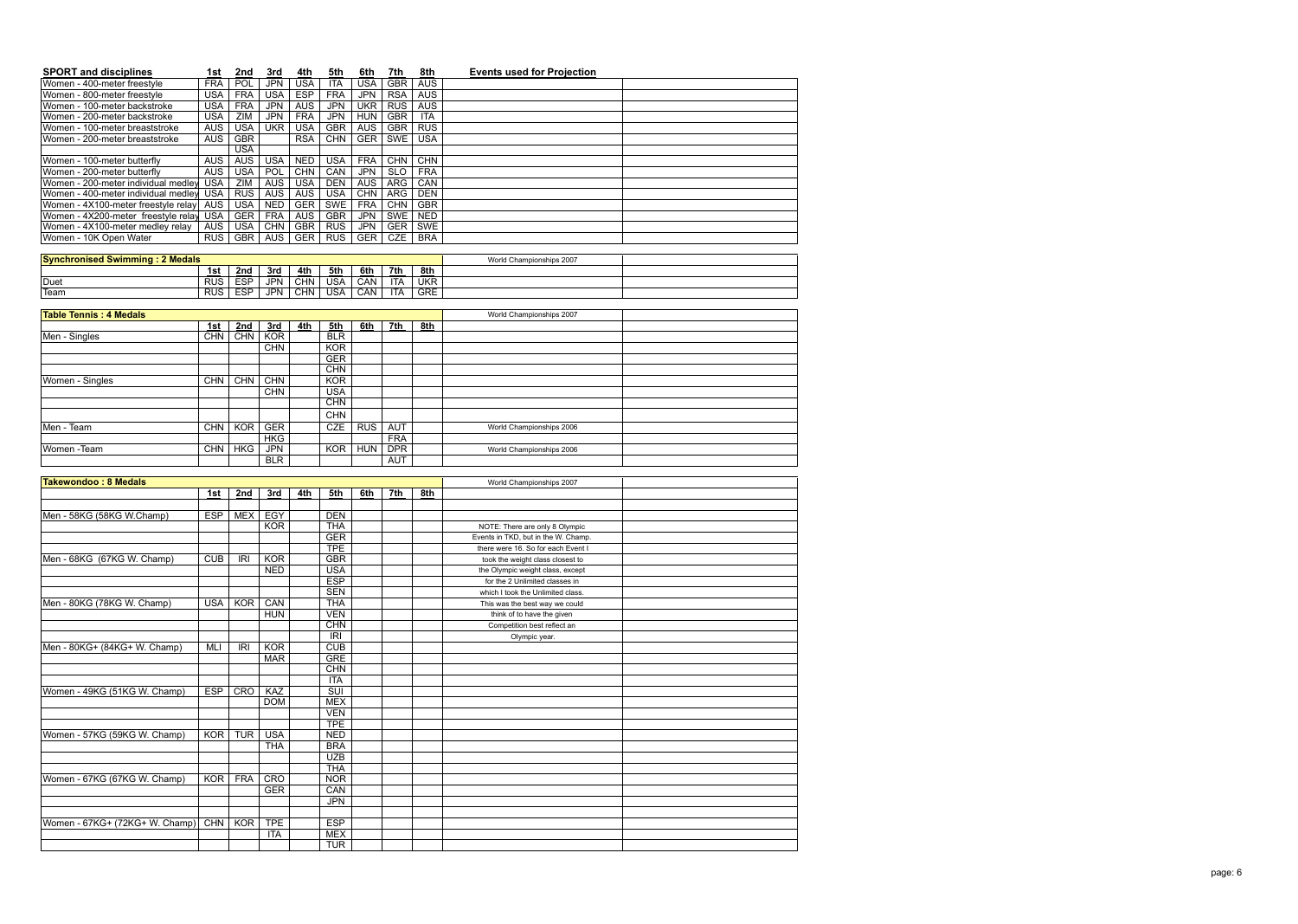| <b>SPORT and disciplines</b>           | 1st              | 2nd        | 3rd        | 4th        | 5th                      | 6th        | 7th        | 8th        | <b>Events used for Projection</b> |
|----------------------------------------|------------------|------------|------------|------------|--------------------------|------------|------------|------------|-----------------------------------|
| Women - 400-meter freestyle            | <b>FRA</b>       | POL        | <b>JPN</b> | <b>USA</b> | <b>ITA</b>               | <b>USA</b> | <b>GBR</b> | <b>AUS</b> |                                   |
| Women - 800-meter freestyle            | <b>USA</b>       | <b>FRA</b> | <b>USA</b> | <b>ESP</b> | <b>FRA</b>               | <b>JPN</b> | <b>RSA</b> | <b>AUS</b> |                                   |
| Women - 100-meter backstroke           | <b>USA</b>       | <b>FRA</b> | <b>JPN</b> | <b>AUS</b> | <b>JPN</b>               | <b>UKR</b> | RUS        | <b>AUS</b> |                                   |
| Women - 200-meter backstroke           | <b>USA</b>       | ZIM        | <b>JPN</b> | <b>FRA</b> | <b>JPN</b>               | <b>HUN</b> | <b>GBR</b> | <b>ITA</b> |                                   |
| Women - 100-meter breaststroke         | <b>AUS</b>       | <b>USA</b> | <b>UKR</b> | <b>USA</b> | <b>GBR</b>               | <b>AUS</b> | <b>GBR</b> | RUS        |                                   |
| Women - 200-meter breaststroke         | AUS <sup>T</sup> | <b>GBR</b> |            | <b>RSA</b> | <b>CHN</b>               | <b>GER</b> | <b>SWE</b> | <b>USA</b> |                                   |
|                                        |                  | <b>USA</b> |            |            |                          |            |            |            |                                   |
| Women - 100-meter butterfly            | <b>AUS</b>       | AUS        | <b>USA</b> | <b>NED</b> | <b>USA</b>               | <b>FRA</b> | <b>CHN</b> | <b>CHN</b> |                                   |
| Women - 200-meter butterfly            | AUS              | <b>USA</b> | POL        | <b>CHN</b> | CAN                      | <b>JPN</b> | <b>SLO</b> | <b>FRA</b> |                                   |
| Women - 200-meter individual medley    | <b>USA</b>       | ZIM        | <b>AUS</b> | <b>USA</b> | <b>DEN</b>               | <b>AUS</b> | ARG        | CAN        |                                   |
| Women - 400-meter individual medley    | <b>USA</b>       | <b>RUS</b> | <b>AUS</b> | <b>AUS</b> | <b>USA</b>               | CHN        | ARG        | <b>DEN</b> |                                   |
| Women - 4X100-meter freestyle relay    | <b>AUS</b>       | <b>USA</b> | <b>NED</b> | <b>GER</b> | <b>SWE</b>               | <b>FRA</b> | CHN        | <b>GBR</b> |                                   |
| Women - 4X200-meter freestyle relay    | <b>USA</b>       | <b>GER</b> | <b>FRA</b> | <b>AUS</b> | <b>GBR</b>               | <b>JPN</b> | <b>SWE</b> | <b>NED</b> |                                   |
| Women - 4X100-meter medley relay       | <b>AUS</b>       | <b>USA</b> | CHN        | <b>GBR</b> | <b>RUS</b>               | <b>JPN</b> | <b>GER</b> | <b>SWE</b> |                                   |
| Women - 10K Open Water                 | <b>RUS</b>       | <b>GBR</b> | <b>AUS</b> | <b>GER</b> | <b>RUS</b>               | <b>GER</b> | <b>CZE</b> | <b>BRA</b> |                                   |
|                                        |                  |            |            |            |                          |            |            |            |                                   |
| <b>Synchronised Swimming: 2 Medals</b> |                  |            |            |            |                          |            |            |            | World Championships 2007          |
|                                        | 1st              | 2nd        | 3rd        | 4th        | 5th                      | 6th        | 7th        | 8th        |                                   |
| Duet                                   | <b>RUS</b>       | <b>ESP</b> | <b>JPN</b> | CHN        | <b>USA</b>               | CAN        | <b>ITA</b> | <b>UKR</b> |                                   |
| Team                                   | <b>RUS</b>       | <b>ESP</b> | <b>JPN</b> | <b>CHN</b> | <b>USA</b>               | CAN        | ITA        | <b>GRE</b> |                                   |
|                                        |                  |            |            |            |                          |            |            |            |                                   |
| <b>Table Tennis: 4 Medals</b>          |                  |            |            |            |                          |            |            |            | World Championships 2007          |
|                                        | 1st              | 2nd        | 3rd        | 4th        | 5th                      | 6th        | 7th        | 8th        |                                   |
| Men - Singles                          | <b>CHN</b>       | <b>CHN</b> | <b>KOR</b> |            | <b>BLR</b>               |            |            |            |                                   |
|                                        |                  |            | <b>CHN</b> |            | <b>KOR</b>               |            |            |            |                                   |
|                                        |                  |            |            |            | <b>GER</b>               |            |            |            |                                   |
|                                        |                  | CHN        | <b>CHN</b> |            | <b>CHN</b><br><b>KOR</b> |            |            |            |                                   |
| Women - Singles                        | <b>CHN</b>       |            | CHN        |            |                          |            |            |            |                                   |
|                                        |                  |            |            |            | <b>USA</b>               |            |            |            |                                   |
|                                        |                  |            |            |            | <b>CHN</b>               |            |            |            |                                   |
|                                        |                  |            |            |            | <b>CHN</b>               |            |            |            |                                   |
| Men - Team                             | CHN              | KOR        | <b>GER</b> |            | <b>CZE</b>               | <b>RUS</b> | <b>AUT</b> |            | World Championships 2006          |
|                                        |                  |            | <b>HKG</b> |            |                          |            | <b>FRA</b> |            |                                   |
| Women - Team                           | <b>CHN</b>       | <b>HKG</b> | <b>JPN</b> |            | <b>KOR</b>               | <b>HUN</b> | <b>DPR</b> |            | World Championships 2006          |
|                                        |                  |            | <b>BLR</b> |            |                          |            | <b>AUT</b> |            |                                   |

| <b>Takewondoo: 8 Medals</b>    |            |            |            |     |            | World Championships 2007 |     |     |                                     |  |
|--------------------------------|------------|------------|------------|-----|------------|--------------------------|-----|-----|-------------------------------------|--|
|                                | 1st        | 2nd        | 3rd        | 4th | 5th        | 6th                      | 7th | 8th |                                     |  |
|                                |            |            |            |     |            |                          |     |     |                                     |  |
| Men - 58KG (58KG W.Champ)      | <b>ESP</b> | <b>MEX</b> | EGY        |     | <b>DEN</b> |                          |     |     |                                     |  |
|                                |            |            | <b>KOR</b> |     | <b>THA</b> |                          |     |     | NOTE: There are only 8 Olympic      |  |
|                                |            |            |            |     | <b>GER</b> |                          |     |     | Events in TKD, but in the W. Champ. |  |
|                                |            |            |            |     | <b>TPE</b> |                          |     |     | there were 16. So for each Event I  |  |
| Men - 68KG (67KG W. Champ)     | <b>CUB</b> | <b>IRI</b> | KOR        |     | <b>GBR</b> |                          |     |     | took the weight class closest to    |  |
|                                |            |            | <b>NED</b> |     | <b>USA</b> |                          |     |     | the Olympic weight class, except    |  |
|                                |            |            |            |     | <b>ESP</b> |                          |     |     | for the 2 Unlimited classes in      |  |
|                                |            |            |            |     | <b>SEN</b> |                          |     |     | which I took the Unlimited class.   |  |
| Men - 80KG (78KG W. Champ)     | <b>USA</b> | <b>KOR</b> | CAN        |     | <b>THA</b> |                          |     |     | This was the best way we could      |  |
|                                |            |            | <b>HUN</b> |     | <b>VEN</b> |                          |     |     | think of to have the given          |  |
|                                |            |            |            |     | <b>CHN</b> |                          |     |     | Competition best reflect an         |  |
|                                |            |            |            |     | <b>IRI</b> |                          |     |     | Olympic year.                       |  |
| Men - 80KG+ (84KG+ W. Champ)   | <b>MLI</b> | <b>IRI</b> | KOR        |     | CUB        |                          |     |     |                                     |  |
|                                |            |            | <b>MAR</b> |     | <b>GRE</b> |                          |     |     |                                     |  |
|                                |            |            |            |     | <b>CHN</b> |                          |     |     |                                     |  |
|                                |            |            |            |     | <b>ITA</b> |                          |     |     |                                     |  |
| Women - 49KG (51KG W. Champ)   | <b>ESP</b> | CRO        | KAZ        |     | SUI        |                          |     |     |                                     |  |
|                                |            |            | <b>DOM</b> |     | <b>MEX</b> |                          |     |     |                                     |  |
|                                |            |            |            |     | <b>VEN</b> |                          |     |     |                                     |  |
|                                |            |            |            |     | <b>TPE</b> |                          |     |     |                                     |  |
| Women - 57KG (59KG W. Champ)   | <b>KOR</b> | <b>TUR</b> | <b>USA</b> |     | <b>NED</b> |                          |     |     |                                     |  |
|                                |            |            | <b>THA</b> |     | <b>BRA</b> |                          |     |     |                                     |  |
|                                |            |            |            |     | <b>UZB</b> |                          |     |     |                                     |  |
|                                |            |            |            |     | <b>THA</b> |                          |     |     |                                     |  |
| Women - 67KG (67KG W. Champ)   | <b>KOR</b> | <b>FRA</b> | CRO        |     | <b>NOR</b> |                          |     |     |                                     |  |
|                                |            |            | <b>GER</b> |     | CAN        |                          |     |     |                                     |  |
|                                |            |            |            |     | <b>JPN</b> |                          |     |     |                                     |  |
|                                |            |            |            |     |            |                          |     |     |                                     |  |
| Women - 67KG+ (72KG+ W. Champ) | CHN        | KOR        | <b>TPE</b> |     | <b>ESP</b> |                          |     |     |                                     |  |
|                                |            |            | <b>ITA</b> |     | <b>MEX</b> |                          |     |     |                                     |  |
|                                |            |            |            |     | <b>TUR</b> |                          |     |     |                                     |  |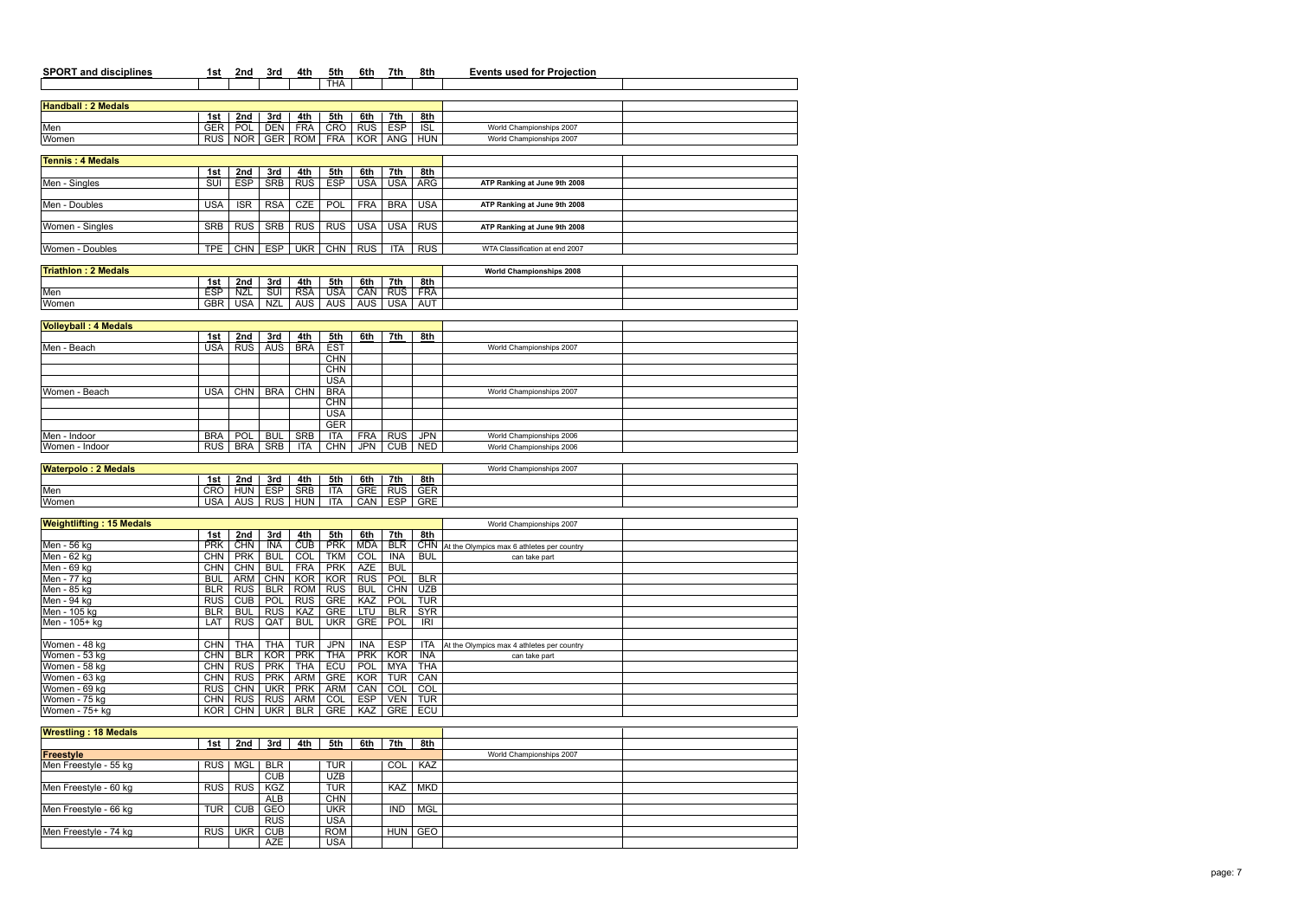| <b>SPORT and disciplines</b>    | 1st        | 2nd                     | 3rd                      | 4th                      | 5th        | 6th               | 7th               | 8th        | <b>Events used for Projection</b>          |  |
|---------------------------------|------------|-------------------------|--------------------------|--------------------------|------------|-------------------|-------------------|------------|--------------------------------------------|--|
|                                 |            |                         |                          |                          | <b>THA</b> |                   |                   |            |                                            |  |
|                                 |            |                         |                          |                          |            |                   |                   |            |                                            |  |
| <b>Handball: 2 Medals</b>       |            |                         |                          |                          |            |                   |                   |            |                                            |  |
|                                 | 1st        | 2nd                     | 3rd                      | 4th                      | 5th        | 6th               | 7th               | 8th        |                                            |  |
| Men                             | <b>GER</b> | POL                     | <b>DEN</b>               | <b>FRA</b>               | <b>CRO</b> | <b>RUS</b>        | <b>ESP</b>        | ISL        | World Championships 2007                   |  |
| Women                           | <b>RUS</b> | <b>NOR</b>              | <b>GER</b>               | <b>ROM</b>               | <b>FRA</b> | <b>KOR</b>        | ANG               | <b>HUN</b> | World Championships 2007                   |  |
| <b>Tennis: 4 Medals</b>         |            |                         |                          |                          |            |                   |                   |            |                                            |  |
|                                 | 1st        | 2nd                     | 3rd                      | 4th                      | 5th        | 6th               | 7th               | 8th        |                                            |  |
| Men - Singles                   | SUI        | <b>ESP</b>              | <b>SRB</b>               | <b>RUS</b>               | <b>ESP</b> | <b>USA</b>        | <b>USA</b>        | <b>ARG</b> | ATP Ranking at June 9th 2008               |  |
|                                 |            |                         |                          |                          |            |                   |                   |            |                                            |  |
| Men - Doubles                   | <b>USA</b> | $\overline{\text{ISR}}$ | <b>RSA</b>               | <b>CZE</b>               | POL        | <b>FRA</b>        | <b>BRA</b>        | <b>USA</b> | ATP Ranking at June 9th 2008               |  |
|                                 |            |                         |                          |                          |            |                   |                   |            |                                            |  |
| Women - Singles                 | <b>SRB</b> | <b>RUS</b>              | <b>SRB</b>               | <b>RUS</b>               | <b>RUS</b> | <b>USA</b>        | <b>USA</b>        | <b>RUS</b> | ATP Ranking at June 9th 2008               |  |
|                                 |            |                         |                          |                          |            |                   |                   |            |                                            |  |
| Women - Doubles                 | <b>TPE</b> | CHN                     | <b>ESP</b>               | <b>UKR</b>               | CHN        | RUS               | <b>ITA</b>        | <b>RUS</b> | WTA Classification at end 2007             |  |
|                                 |            |                         |                          |                          |            |                   |                   |            |                                            |  |
| <b>Triathlon: 2 Medals</b>      |            |                         |                          |                          |            |                   |                   |            | <b>World Championships 2008</b>            |  |
|                                 | 1st        | 2nd                     | 3rd                      | 4th                      | 5th        | 6th               | 7th               | 8th        |                                            |  |
| Men                             | <b>ESP</b> | <b>NZL</b>              | SUI                      | <b>RSA</b>               | <b>USA</b> | CAN               | RUS               | <b>FRA</b> |                                            |  |
| Women                           | <b>GBR</b> | <b>USA</b>              | <b>NZL</b>               | <b>AUS</b>               | <b>AUS</b> | <b>AUS</b>        | <b>USA</b>        | <b>AUT</b> |                                            |  |
|                                 |            |                         |                          |                          |            |                   |                   |            |                                            |  |
| <b>Volleyball: 4 Medals</b>     | 1st        | 2nd                     | 3rd                      | 4th                      | 5th        | 6th               | 7th               | 8th        |                                            |  |
| Men - Beach                     | <b>USA</b> | <b>RUS</b>              | <b>AUS</b>               | <b>BRA</b>               | <b>EST</b> |                   |                   |            | World Championships 2007                   |  |
|                                 |            |                         |                          |                          | <b>CHN</b> |                   |                   |            |                                            |  |
|                                 |            |                         |                          |                          | <b>CHN</b> |                   |                   |            |                                            |  |
|                                 |            |                         |                          |                          | <b>USA</b> |                   |                   |            |                                            |  |
| Women - Beach                   | <b>USA</b> | <b>CHN</b>              | <b>BRA</b>               | <b>CHN</b>               | <b>BRA</b> |                   |                   |            | World Championships 2007                   |  |
|                                 |            |                         |                          |                          | <b>CHN</b> |                   |                   |            |                                            |  |
|                                 |            |                         |                          |                          | <b>USA</b> |                   |                   |            |                                            |  |
|                                 |            |                         |                          |                          | <b>GER</b> |                   |                   |            |                                            |  |
| Men - Indoor                    | <b>BRA</b> | POL                     | <b>BUL</b>               | <b>SRB</b>               | ITA        | <b>FRA</b>        | <b>RUS</b>        | <b>JPN</b> | World Championships 2006                   |  |
| Women - Indoor                  | <b>RUS</b> | <b>BRA</b>              | <b>SRB</b>               | <b>ITA</b>               | <b>CHN</b> | <b>JPN</b>        | <b>CUB</b>        | <b>NED</b> | World Championships 2006                   |  |
|                                 |            |                         |                          |                          |            |                   |                   |            |                                            |  |
| <b>Waterpolo: 2 Medals</b>      |            |                         |                          |                          |            |                   |                   |            | World Championships 2007                   |  |
|                                 | 1st        | 2nd                     | 3rd                      | 4th                      | 5th        | 6th               | 7th               | 8th        |                                            |  |
| Men                             | CRO        | HUN                     | <b>ESP</b>               | <b>SRB</b>               | <b>ITA</b> | <b>GRE</b>        | <b>RUS</b>        | <b>GER</b> |                                            |  |
| Women                           | <b>USA</b> | AUS                     | <b>RUS</b>               | <b>HUN</b>               | <b>ITA</b> | CAN               | <b>ESP</b>        | <b>GRE</b> |                                            |  |
| <b>Weightlifting: 15 Medals</b> |            |                         |                          |                          |            |                   |                   |            | World Championships 2007                   |  |
|                                 | 1st        | 2nd                     | 3rd                      | 4th                      | 5th        | 6th               | 7th               | 8th        |                                            |  |
| Men - 56 kg                     | <b>PRK</b> | CHN                     | <b>INA</b>               | CUB                      | <b>PRK</b> | <b>MDA</b>        | <b>BLR</b>        | <b>CHN</b> | At the Olympics max 6 athletes per country |  |
| Men - 62 kg                     |            | CHN PRK                 | <b>BUL</b>               | COL                      | <b>TKM</b> | COL               | <b>INA</b>        | <b>BUL</b> | can take part                              |  |
| Men - 69 kg                     | <b>CHN</b> | CHN                     | <b>BUL</b>               | <b>FRA</b>               | <b>PRK</b> | <b>AZE</b>        | <b>BUL</b>        |            |                                            |  |
| Men - 77 kg                     | <b>BUL</b> | ARM                     | <b>CHN</b>               | <b>KOR</b>               | KOR        | <b>RUS</b>        | POL               | BLR        |                                            |  |
| Men - 85 kg                     | <b>BLR</b> | <b>RUS</b>              | <b>BLR</b>               | <b>ROM</b>               | <b>RUS</b> | <b>BUL</b>        | <b>CHN</b>        | <b>UZB</b> |                                            |  |
| Men - 94 kg                     | <b>RUS</b> | <b>CUB</b>              | <b>POL</b>               | <b>RUS</b>               | <b>GRE</b> | KAZ               | <b>POL</b>        | <b>TUR</b> |                                            |  |
| Men - 105 kg                    | <b>BLR</b> | <b>BUL</b>              | <b>RUS</b>               | KAZ                      | <b>GRE</b> | LTU               | <b>BLR</b>        | <b>SYR</b> |                                            |  |
| Men - 105+ kg                   | LAT        | <b>RUS</b>              | QAT                      | <b>BUL</b>               | <b>UKR</b> | <b>GRE</b>        | POL               | IRI        |                                            |  |
|                                 |            |                         |                          |                          |            |                   |                   |            |                                            |  |
| Women - 48 kg                   | <b>CHN</b> | <b>THA</b>              | <b>THA</b>               | <b>TUR</b>               | <b>JPN</b> | <b>INA</b>        | <b>ESP</b>        | ITA        | At the Olympics max 4 athletes per country |  |
| Women - 53 kg                   |            | CHN BLR                 | KOR                      | <b>PRK</b>               | <b>THA</b> | <b>PRK</b>        | <b>KOR</b>        | <b>INA</b> | can take part                              |  |
| Women - 58 kg                   |            | CHN RUS                 | <b>PRK</b>               | <b>THA</b>               | ECU        | POL               | <b>MYA</b>        | <b>THA</b> |                                            |  |
| Women - 63 kg                   |            | CHN RUS                 | <b>PRK</b><br><b>UKR</b> | <b>ARM</b>               | GRE<br>ARM | <b>KOR</b><br>CAN | <b>TUR</b><br>COL | CAN<br>COL |                                            |  |
| Women - 69 kg<br>Women - 75 kg  |            | RUS   CHN<br>CHN RUS    | <b>RUS</b>               | <b>PRK</b><br><b>ARM</b> | COL        | <b>ESP</b>        | <b>VEN</b>        | <b>TUR</b> |                                            |  |
| Women - 75+ kg                  |            | KOR CHN                 | UKR <sup>1</sup>         | <b>BLR</b>               | GRE        | <b>KAZ</b>        |                   | GRE ECU    |                                            |  |
|                                 |            |                         |                          |                          |            |                   |                   |            |                                            |  |
| <b>Wrestling: 18 Medals</b>     |            |                         |                          |                          |            |                   |                   |            |                                            |  |
|                                 | 1st        | 2nd                     | 3rd                      | 4th                      | 5th        | 6th               | 7th               | 8th        |                                            |  |
| <b>Freestyle</b>                |            |                         |                          |                          |            |                   |                   |            | World Championships 2007                   |  |
| Men Freestyle - 55 kg           | <b>RUS</b> | <b>MGL</b>              | <b>BLR</b>               |                          | <b>TUR</b> |                   | COL               | KAZ        |                                            |  |
|                                 |            |                         | CUB                      |                          | <b>UZB</b> |                   |                   |            |                                            |  |
| Men Freestyle - 60 kg           | <b>RUS</b> | <b>RUS</b>              | <b>KGZ</b>               |                          | <b>TUR</b> |                   | KAZ               | <b>MKD</b> |                                            |  |
|                                 |            |                         | <b>ALB</b>               |                          | <b>CHN</b> |                   |                   |            |                                            |  |
| Men Freestyle - 66 kg           | <b>TUR</b> | CUB                     | GEO                      |                          | <b>UKR</b> |                   | <b>IND</b>        | <b>MGL</b> |                                            |  |
|                                 |            |                         | <b>RUS</b>               |                          | <b>USA</b> |                   |                   |            |                                            |  |
| Men Freestyle - 74 kg           | <b>RUS</b> | <b>UKR</b>              | CUB                      |                          | <b>ROM</b> |                   |                   | HUN GEO    |                                            |  |
|                                 |            |                         | <b>AZE</b>               |                          | <b>USA</b> |                   |                   |            |                                            |  |